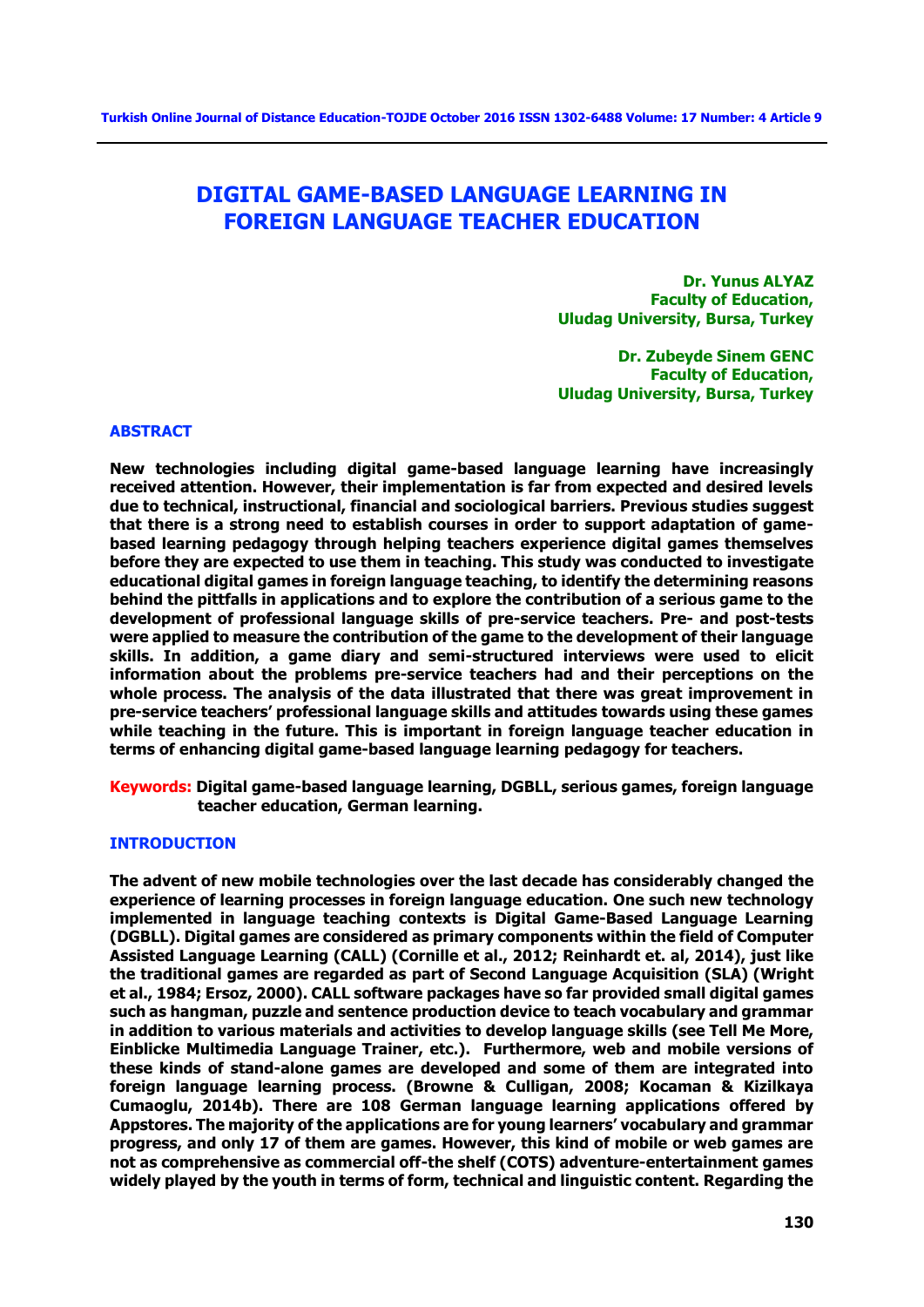# **DIGITAL GAME-BASED LANGUAGE LEARNING IN FOREIGN LANGUAGE TEACHER EDUCATION**

**Dr. Yunus ALYAZ Faculty of Education, Uludag University, Bursa, Turkey** 

**Dr. Zubeyde Sinem GENC Faculty of Education, Uludag University, Bursa, Turkey** 

#### **ABSTRACT**

**New technologies including digital game-based language learning have increasingly received attention. However, their implementation is far from expected and desired levels due to technical, instructional, financial and sociological barriers. Previous studies suggest that there is a strong need to establish courses in order to support adaptation of gamebased learning pedagogy through helping teachers experience digital games themselves before they are expected to use them in teaching. This study was conducted to investigate educational digital games in foreign language teaching, to identify the determining reasons behind the pittfalls in applications and to explore the contribution of a serious game to the development of professional language skills of pre-service teachers. Pre- and post-tests were applied to measure the contribution of the game to the development of their language skills. In addition, a game diary and semi-structured interviews were used to elicit information about the problems pre-service teachers had and their perceptions on the whole process. The analysis of the data illustrated that there was great improvement in pre-service teachers' professional language skills and attitudes towards using these games while teaching in the future. This is important in foreign language teacher education in terms of enhancing digital game-based language learning pedagogy for teachers.** 

**Keywords: Digital game-based language learning, DGBLL, serious games, foreign language teacher education, German learning.** 

# **INTRODUCTION**

**The advent of new mobile technologies over the last decade has considerably changed the experience of learning processes in foreign language education. One such new technology implemented in language teaching contexts is Digital Game-Based Language Learning (DGBLL). Digital games are considered as primary components within the field of Computer Assisted Language Learning (CALL) (Cornille et al., 2012; Reinhardt et. al, 2014), just like the traditional games are regarded as part of Second Language Acquisition (SLA) (Wright et al., 1984; Ersoz, 2000). CALL software packages have so far provided small digital games such as hangman, puzzle and sentence production device to teach vocabulary and grammar in addition to various materials and activities to develop language skills (see Tell Me More, Einblicke Multimedia Language Trainer, etc.). Furthermore, web and mobile versions of these kinds of stand-alone games are developed and some of them are integrated into foreign language learning process. (Browne & Culligan, 2008; Kocaman & Kizilkaya Cumaoglu, 2014b). There are 108 German language learning applications offered by Appstores. The majority of the applications are for young learners' vocabulary and grammar progress, and only 17 of them are games. However, this kind of mobile or web games are not as comprehensive as commercial off-the shelf (COTS) adventure-entertainment games widely played by the youth in terms of form, technical and linguistic content. Regarding the**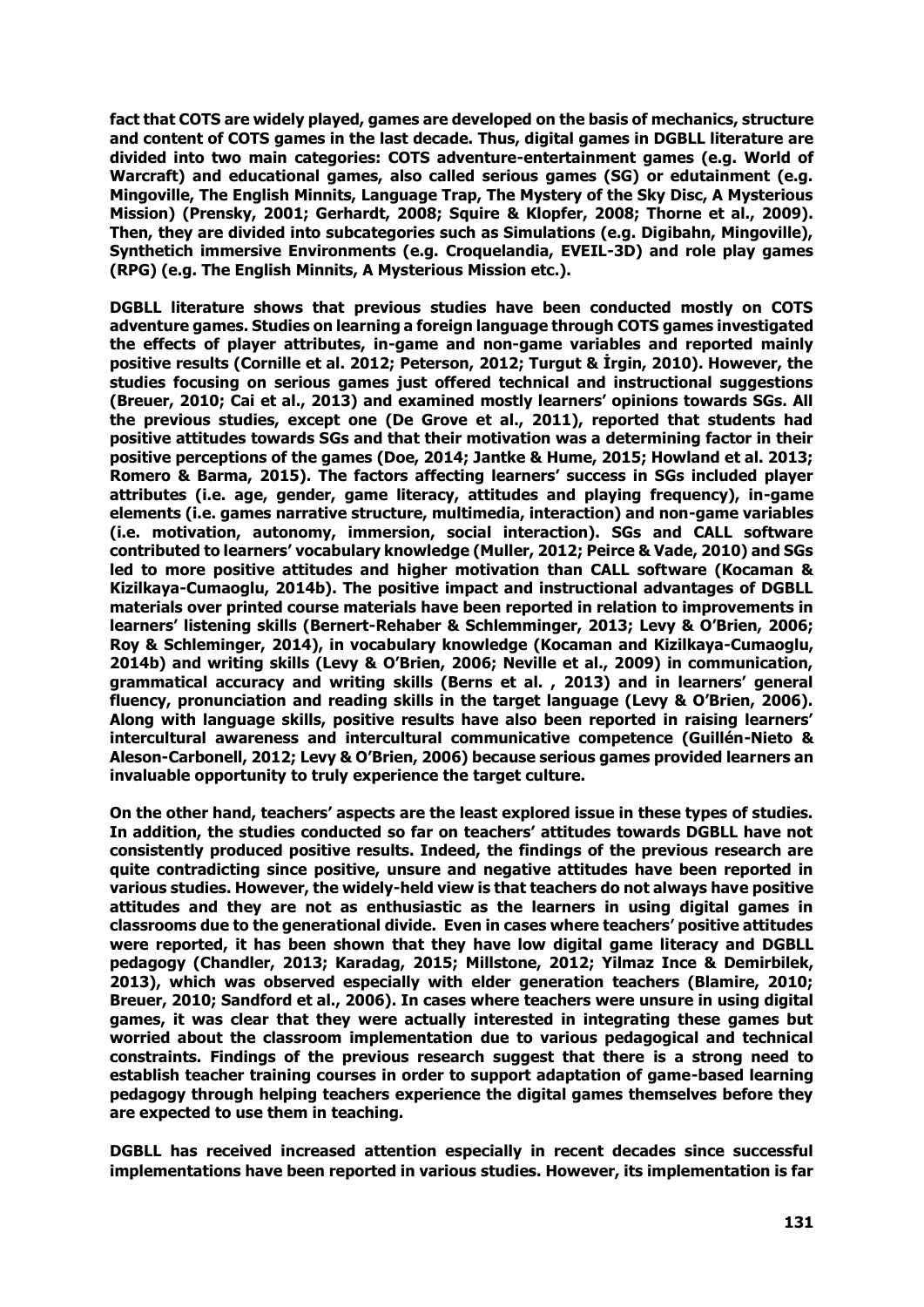**fact that COTS are widely played, games are developed on the basis of mechanics, structure and content of COTS games in the last decade. Thus, digital games in DGBLL literature are divided into two main categories: COTS adventure-entertainment games (e.g. World of Warcraft) and educational games, also called serious games (SG) or edutainment (e.g. Mingoville, The English Minnits, Language Trap, The Mystery of the Sky Disc, A Mysterious Mission) (Prensky, 2001; Gerhardt, 2008; Squire & Klopfer, 2008; Thorne et al., 2009). Then, they are divided into subcategories such as Simulations (e.g. Digibahn, Mingoville), Synthetich immersive Environments (e.g. Croquelandia, EVEIL-3D) and role play games (RPG) (e.g. The English Minnits, A Mysterious Mission etc.).**

**DGBLL literature shows that previous studies have been conducted mostly on COTS adventure games. Studies on learning a foreign language through COTS games investigated the effects of player attributes, in-game and non-game variables and reported mainly positive results (Cornille et al. 2012; Peterson, 2012; Turgut & İrgin, 2010). However, the studies focusing on serious games just offered technical and instructional suggestions (Breuer, 2010; Cai et al., 2013) and examined mostly learners' opinions towards SGs. All the previous studies, except one (De Grove et al., 2011), reported that students had positive attitudes towards SGs and that their motivation was a determining factor in their positive perceptions of the games (Doe, 2014; Jantke & Hume, 2015; Howland et al. 2013; Romero & Barma, 2015). The factors affecting learners' success in SGs included player attributes (i.e. age, gender, game literacy, attitudes and playing frequency), in-game elements (i.e. games narrative structure, multimedia, interaction) and non-game variables (i.e. motivation, autonomy, immersion, social interaction). SGs and CALL software contributed to learners' vocabulary knowledge (Muller, 2012; Peirce & Vade, 2010) and SGs led to more positive attitudes and higher motivation than CALL software (Kocaman & Kizilkaya-Cumaoglu, 2014b). The positive impact and instructional advantages of DGBLL materials over printed course materials have been reported in relation to improvements in learners' listening skills (Bernert-Rehaber & Schlemminger, 2013; Levy & O'Brien, 2006; Roy & Schleminger, 2014), in vocabulary knowledge (Kocaman and Kizilkaya-Cumaoglu, 2014b) and writing skills (Levy & O'Brien, 2006; Neville et al., 2009) in communication, grammatical accuracy and writing skills (Berns et al. , 2013) and in learners' general fluency, pronunciation and reading skills in the target language (Levy & O'Brien, 2006). Along with language skills, positive results have also been reported in raising learners' intercultural awareness and intercultural communicative competence (Guillén-Nieto & Aleson-Carbonell, 2012; Levy & O'Brien, 2006) because serious games provided learners an invaluable opportunity to truly experience the target culture.**

**On the other hand, teachers' aspects are the least explored issue in these types of studies. In addition, the studies conducted so far on teachers' attitudes towards DGBLL have not consistently produced positive results. Indeed, the findings of the previous research are quite contradicting since positive, unsure and negative attitudes have been reported in various studies. However, the widely-held view is that teachers do not always have positive attitudes and they are not as enthusiastic as the learners in using digital games in classrooms due to the generational divide. Even in cases where teachers' positive attitudes were reported, it has been shown that they have low digital game literacy and DGBLL pedagogy (Chandler, 2013; Karadag, 2015; Millstone, 2012; Yilmaz Ince & Demirbilek, 2013), which was observed especially with elder generation teachers (Blamire, 2010; Breuer, 2010; Sandford et al., 2006). In cases where teachers were unsure in using digital games, it was clear that they were actually interested in integrating these games but worried about the classroom implementation due to various pedagogical and technical constraints. Findings of the previous research suggest that there is a strong need to establish teacher training courses in order to support adaptation of game-based learning pedagogy through helping teachers experience the digital games themselves before they are expected to use them in teaching.** 

**DGBLL has received increased attention especially in recent decades since successful implementations have been reported in various studies. However, its implementation is far**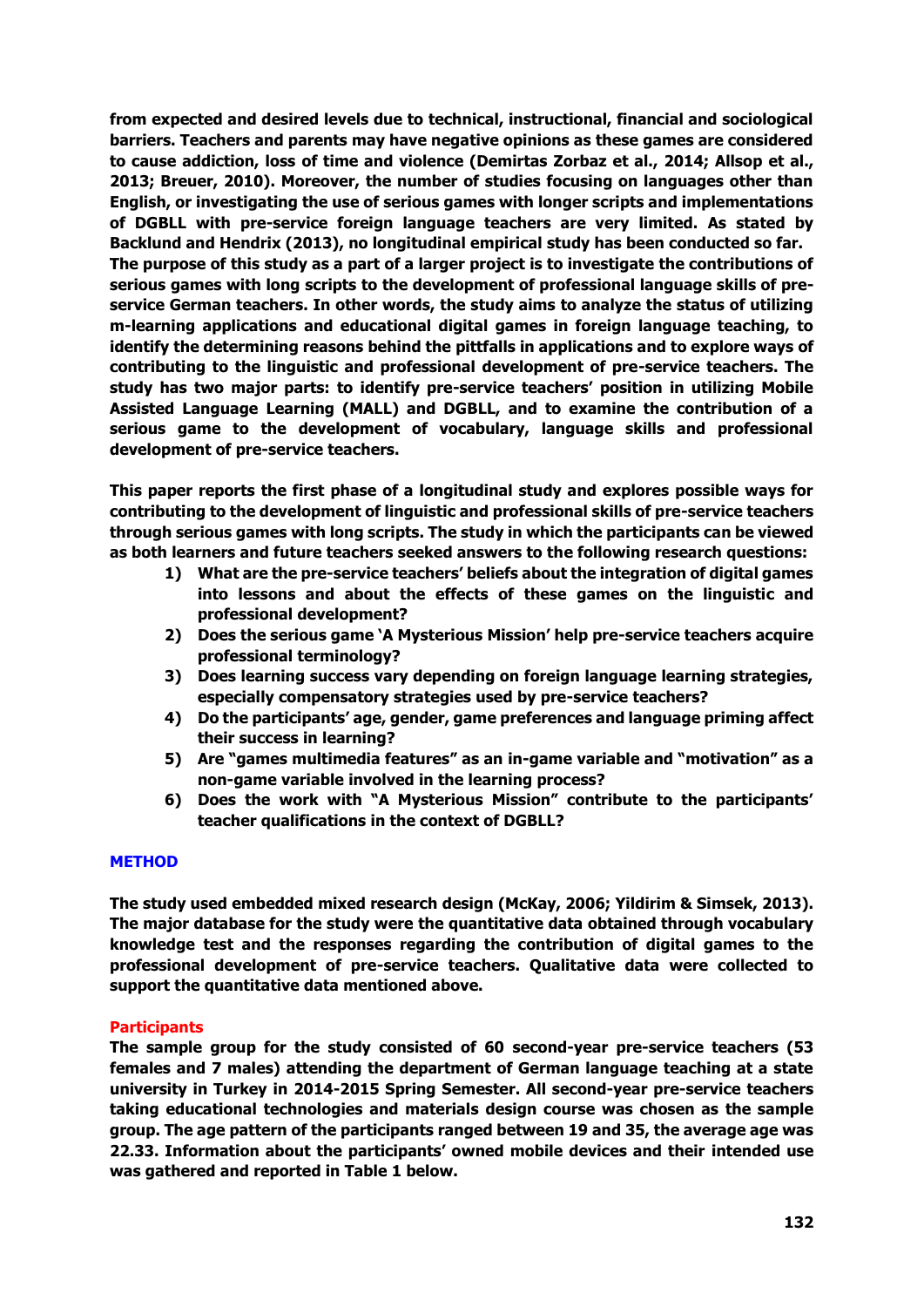**from expected and desired levels due to technical, instructional, financial and sociological barriers. Teachers and parents may have negative opinions as these games are considered to cause addiction, loss of time and violence (Demirtas Zorbaz et al., 2014; Allsop et al., 2013; Breuer, 2010). Moreover, the number of studies focusing on languages other than English, or investigating the use of serious games with longer scripts and implementations of DGBLL with pre-service foreign language teachers are very limited. As stated by Backlund and Hendrix (2013), no longitudinal empirical study has been conducted so far. The purpose of this study as a part of a larger project is to investigate the contributions of serious games with long scripts to the development of professional language skills of preservice German teachers. In other words, the study aims to analyze the status of utilizing m-learning applications and educational digital games in foreign language teaching, to identify the determining reasons behind the pittfalls in applications and to explore ways of contributing to the linguistic and professional development of pre-service teachers. The study has two major parts: to identify pre-service teachers' position in utilizing Mobile Assisted Language Learning (MALL) and DGBLL, and to examine the contribution of a serious game to the development of vocabulary, language skills and professional development of pre-service teachers.**

**This paper reports the first phase of a longitudinal study and explores possible ways for contributing to the development of linguistic and professional skills of pre-service teachers through serious games with long scripts. The study in which the participants can be viewed as both learners and future teachers seeked answers to the following research questions:**

- **1) What are the pre-service teachers' beliefs about the integration of digital games into lessons and about the effects of these games on the linguistic and professional development?**
- **2) Does the serious game 'A Mysterious Mission' help pre-service teachers acquire professional terminology?**
- **3) Does learning success vary depending on foreign language learning strategies, especially compensatory strategies used by pre-service teachers?**
- **4) Do the participants' age, gender, game preferences and language priming affect their success in learning?**
- **5) Are "games multimedia features" as an in-game variable and "motivation" as a non-game variable involved in the learning process?**
- **6) Does the work with "A Mysterious Mission" contribute to the participants' teacher qualifications in the context of DGBLL?**

# **METHOD**

**The study used embedded mixed research design (McKay, 2006; Yildirim & Simsek, 2013). The major database for the study were the quantitative data obtained through vocabulary knowledge test and the responses regarding the contribution of digital games to the professional development of pre-service teachers. Qualitative data were collected to support the quantitative data mentioned above.** 

#### **Participants**

**The sample group for the study consisted of 60 second-year pre-service teachers (53 females and 7 males) attending the department of German language teaching at a state university in Turkey in 2014-2015 Spring Semester. All second-year pre-service teachers taking educational technologies and materials design course was chosen as the sample group. The age pattern of the participants ranged between 19 and 35, the average age was 22.33. Information about the participants' owned mobile devices and their intended use was gathered and reported in Table 1 below.**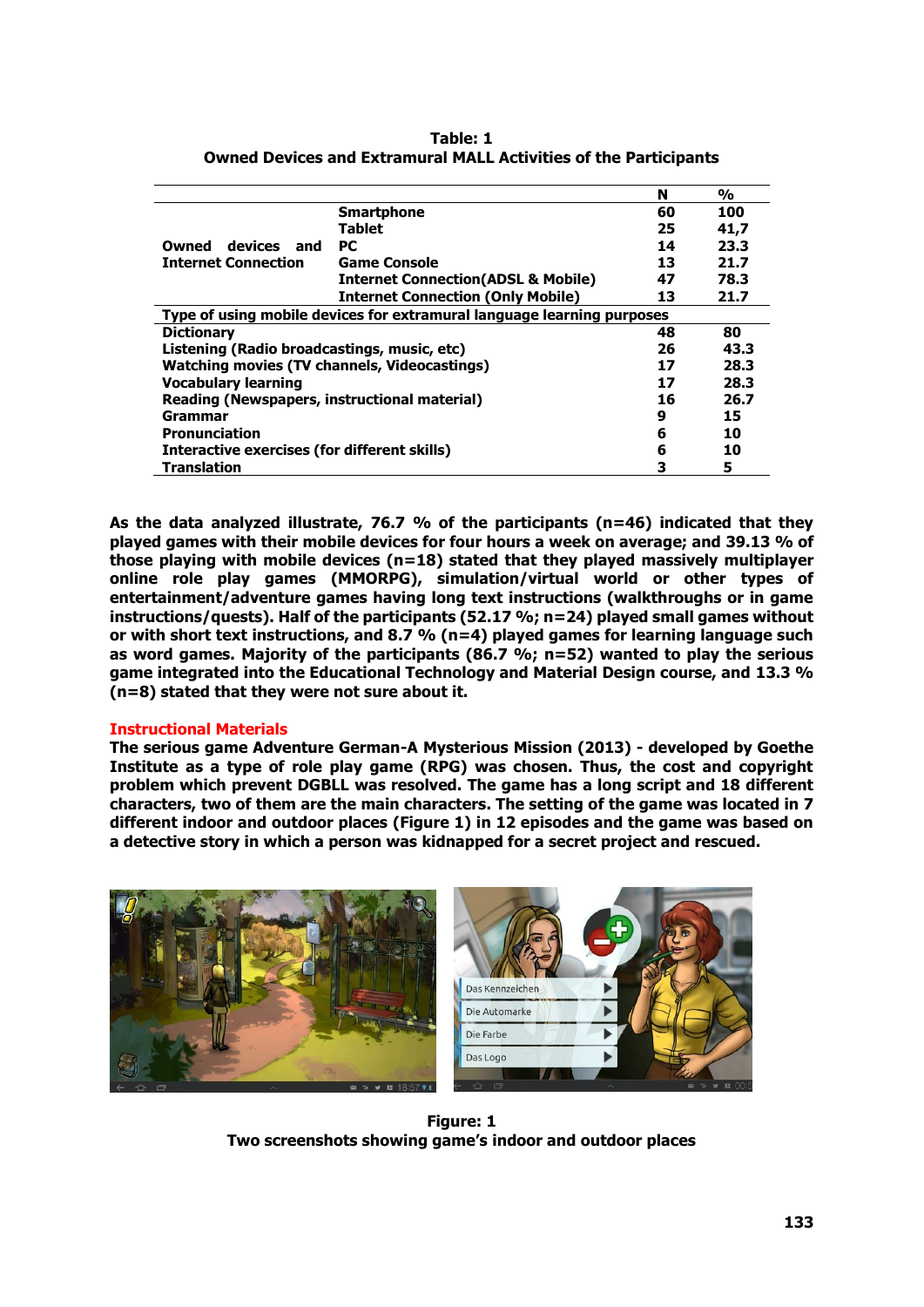|                                                     |                                                                        | N  | $\frac{0}{0}$ |
|-----------------------------------------------------|------------------------------------------------------------------------|----|---------------|
|                                                     | <b>Smartphone</b>                                                      | 60 | 100           |
|                                                     | <b>Tablet</b>                                                          | 25 | 41,7          |
| devices and<br>Owned                                | PC.                                                                    | 14 | 23.3          |
| <b>Internet Connection</b>                          | <b>Game Console</b>                                                    | 13 | 21.7          |
|                                                     | <b>Internet Connection(ADSL &amp; Mobile)</b>                          | 47 | 78.3          |
|                                                     | <b>Internet Connection (Only Mobile)</b>                               | 13 | 21.7          |
|                                                     | Type of using mobile devices for extramural language learning purposes |    |               |
| <b>Dictionary</b>                                   |                                                                        | 48 | 80            |
| Listening (Radio broadcastings, music, etc)         |                                                                        | 26 | 43.3          |
| <b>Watching movies (TV channels, Videocastings)</b> |                                                                        | 17 | 28.3          |
| <b>Vocabulary learning</b>                          |                                                                        | 17 | 28.3          |
| Reading (Newspapers, instructional material)        |                                                                        | 16 | 26.7          |
| Grammar                                             |                                                                        | 9  | 15            |
| <b>Pronunciation</b>                                | 6                                                                      | 10 |               |
| Interactive exercises (for different skills)        | 6                                                                      | 10 |               |
| <b>Translation</b>                                  |                                                                        | 3  | 5             |

**Table: 1 Owned Devices and Extramural MALL Activities of the Participants**

**As the data analyzed illustrate, 76.7 % of the participants (n=46) indicated that they played games with their mobile devices for four hours a week on average; and 39.13 % of those playing with mobile devices (n=18) stated that they played massively multiplayer online role play games (MMORPG), simulation/virtual world or other types of entertainment/adventure games having long text instructions (walkthroughs or in game instructions/quests). Half of the participants (52.17 %; n=24) played small games without or with short text instructions, and 8.7 % (n=4) played games for learning language such as word games. Majority of the participants (86.7 %; n=52) wanted to play the serious game integrated into the Educational Technology and Material Design course, and 13.3 % (n=8) stated that they were not sure about it.**

# **Instructional Materials**

**The serious game Adventure German-A Mysterious Mission (2013) - developed by Goethe Institute as a type of role play game (RPG) was chosen. Thus, the cost and copyright problem which prevent DGBLL was resolved. The game has a long script and 18 different characters, two of them are the main characters. The setting of the game was located in 7 different indoor and outdoor places (Figure 1) in 12 episodes and the game was based on a detective story in which a person was kidnapped for a secret project and rescued.**



**Figure: 1 Two screenshots showing game's indoor and outdoor places**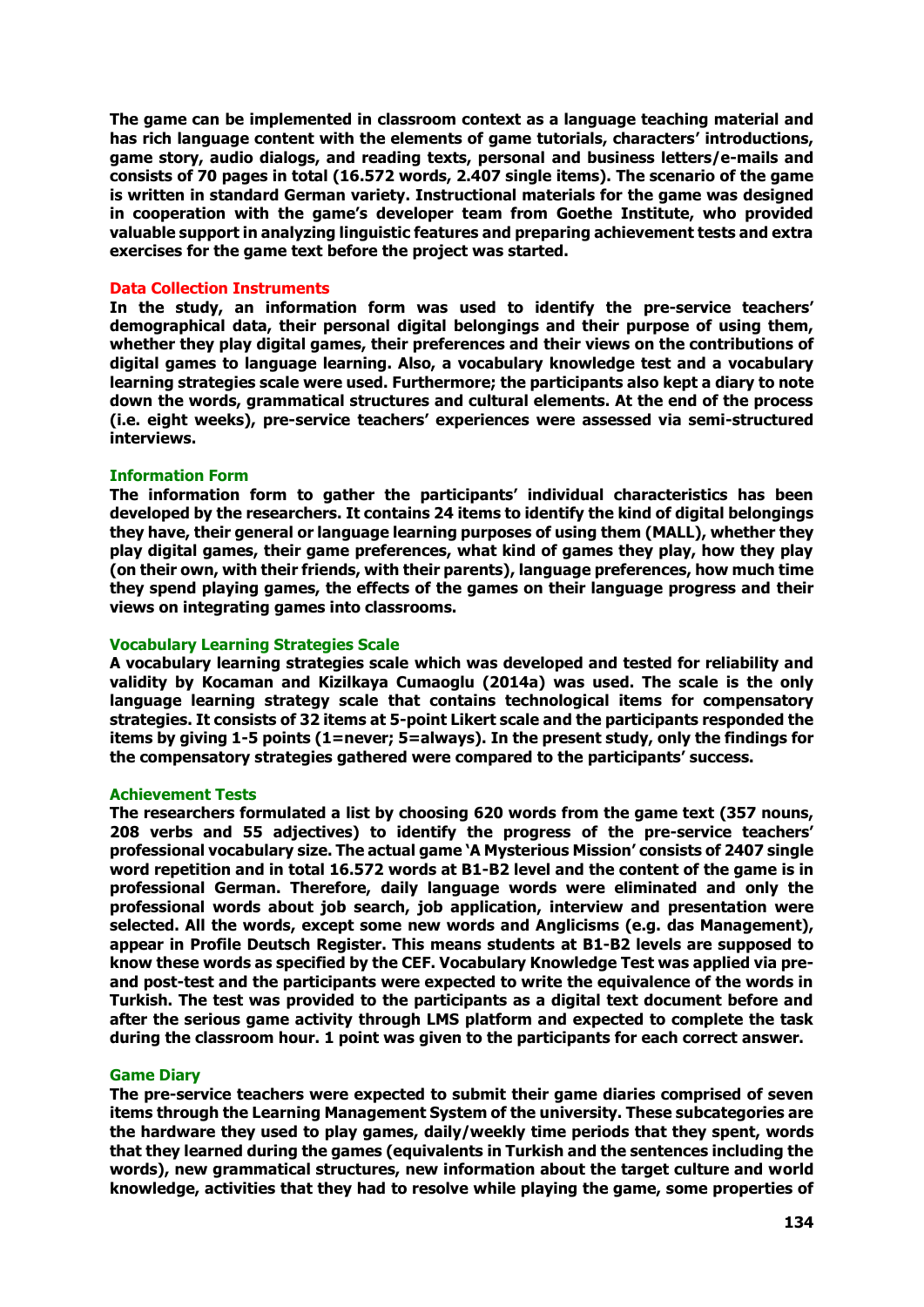**The game can be implemented in classroom context as a language teaching material and has rich language content with the elements of game tutorials, characters' introductions, game story, audio dialogs, and reading texts, personal and business letters/e-mails and consists of 70 pages in total (16.572 words, 2.407 single items). The scenario of the game is written in standard German variety. Instructional materials for the game was designed in cooperation with the game's developer team from Goethe Institute, who provided valuable support in analyzing linguistic features and preparing achievement tests and extra exercises for the game text before the project was started.**

# **Data Collection Instruments**

**In the study, an information form was used to identify the pre-service teachers' demographical data, their personal digital belongings and their purpose of using them, whether they play digital games, their preferences and their views on the contributions of digital games to language learning. Also, a vocabulary knowledge test and a vocabulary learning strategies scale were used. Furthermore; the participants also kept a diary to note down the words, grammatical structures and cultural elements. At the end of the process (i.e. eight weeks), pre-service teachers' experiences were assessed via semi-structured interviews.**

# **Information Form**

**The information form to gather the participants' individual characteristics has been developed by the researchers. It contains 24 items to identify the kind of digital belongings they have, their general or language learning purposes of using them (MALL), whether they play digital games, their game preferences, what kind of games they play, how they play (on their own, with their friends, with their parents), language preferences, how much time they spend playing games, the effects of the games on their language progress and their views on integrating games into classrooms.**

# **Vocabulary Learning Strategies Scale**

**A vocabulary learning strategies scale which was developed and tested for reliability and validity by Kocaman and Kizilkaya Cumaoglu (2014a) was used. The scale is the only language learning strategy scale that contains technological items for compensatory strategies. It consists of 32 items at 5-point Likert scale and the participants responded the items by giving 1-5 points (1=never; 5=always). In the present study, only the findings for the compensatory strategies gathered were compared to the participants' success.**

#### **Achievement Tests**

**The researchers formulated a list by choosing 620 words from the game text (357 nouns, 208 verbs and 55 adjectives) to identify the progress of the pre-service teachers' professional vocabulary size. The actual game 'A Mysterious Mission' consists of 2407 single word repetition and in total 16.572 words at B1-B2 level and the content of the game is in professional German. Therefore, daily language words were eliminated and only the professional words about job search, job application, interview and presentation were selected. All the words, except some new words and Anglicisms (e.g. das Management), appear in Profile Deutsch Register. This means students at B1-B2 levels are supposed to know these words as specified by the CEF. Vocabulary Knowledge Test was applied via preand post-test and the participants were expected to write the equivalence of the words in Turkish. The test was provided to the participants as a digital text document before and after the serious game activity through LMS platform and expected to complete the task during the classroom hour. 1 point was given to the participants for each correct answer.**

#### **Game Diary**

**The pre-service teachers were expected to submit their game diaries comprised of seven items through the Learning Management System of the university. These subcategories are the hardware they used to play games, daily/weekly time periods that they spent, words that they learned during the games (equivalents in Turkish and the sentences including the words), new grammatical structures, new information about the target culture and world knowledge, activities that they had to resolve while playing the game, some properties of**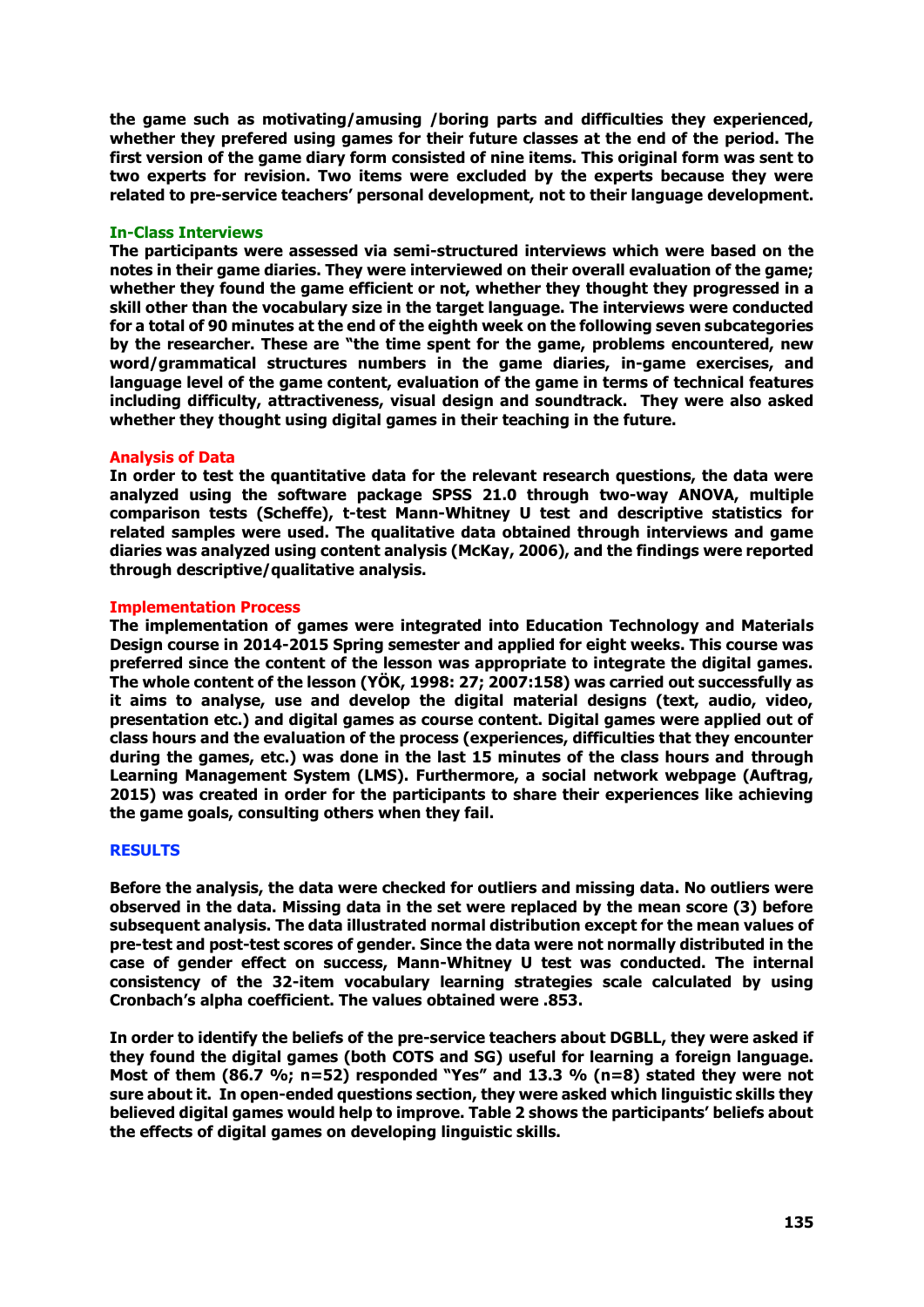**the game such as motivating/amusing /boring parts and difficulties they experienced, whether they prefered using games for their future classes at the end of the period. The first version of the game diary form consisted of nine items. This original form was sent to two experts for revision. Two items were excluded by the experts because they were related to pre-service teachers' personal development, not to their language development.**

# **In-Class Interviews**

**The participants were assessed via semi-structured interviews which were based on the notes in their game diaries. They were interviewed on their overall evaluation of the game; whether they found the game efficient or not, whether they thought they progressed in a skill other than the vocabulary size in the target language. The interviews were conducted for a total of 90 minutes at the end of the eighth week on the following seven subcategories by the researcher. These are "the time spent for the game, problems encountered, new word/grammatical structures numbers in the game diaries, in-game exercises, and language level of the game content, evaluation of the game in terms of technical features including difficulty, attractiveness, visual design and soundtrack. They were also asked whether they thought using digital games in their teaching in the future.** 

# **Analysis of Data**

**In order to test the quantitative data for the relevant research questions, the data were analyzed using the software package SPSS 21.0 through two-way ANOVA, multiple comparison tests (Scheffe), t-test Mann-Whitney U test and descriptive statistics for related samples were used. The qualitative data obtained through interviews and game diaries was analyzed using content analysis (McKay, 2006), and the findings were reported through descriptive/qualitative analysis.** 

# **Implementation Process**

**The implementation of games were integrated into Education Technology and Materials Design course in 2014-2015 Spring semester and applied for eight weeks. This course was preferred since the content of the lesson was appropriate to integrate the digital games. The whole content of the lesson (YÖK, 1998: 27; 2007:158) was carried out successfully as it aims to analyse, use and develop the digital material designs (text, audio, video, presentation etc.) and digital games as course content. Digital games were applied out of class hours and the evaluation of the process (experiences, difficulties that they encounter during the games, etc.) was done in the last 15 minutes of the class hours and through Learning Management System (LMS). Furthermore, a social network webpage (Auftrag, 2015) was created in order for the participants to share their experiences like achieving the game goals, consulting others when they fail.**

#### **RESULTS**

**Before the analysis, the data were checked for outliers and missing data. No outliers were observed in the data. Missing data in the set were replaced by the mean score (3) before subsequent analysis. The data illustrated normal distribution except for the mean values of pre-test and post-test scores of gender. Since the data were not normally distributed in the case of gender effect on success, Mann-Whitney U test was conducted. The internal consistency of the 32-item vocabulary learning strategies scale calculated by using Cronbach's alpha coefficient. The values obtained were .853.** 

**In order to identify the beliefs of the pre-service teachers about DGBLL, they were asked if they found the digital games (both COTS and SG) useful for learning a foreign language. Most of them (86.7 %; n=52) responded "Yes" and 13.3 % (n=8) stated they were not sure about it. In open-ended questions section, they were asked which linguistic skills they believed digital games would help to improve. Table 2 shows the participants' beliefs about the effects of digital games on developing linguistic skills.**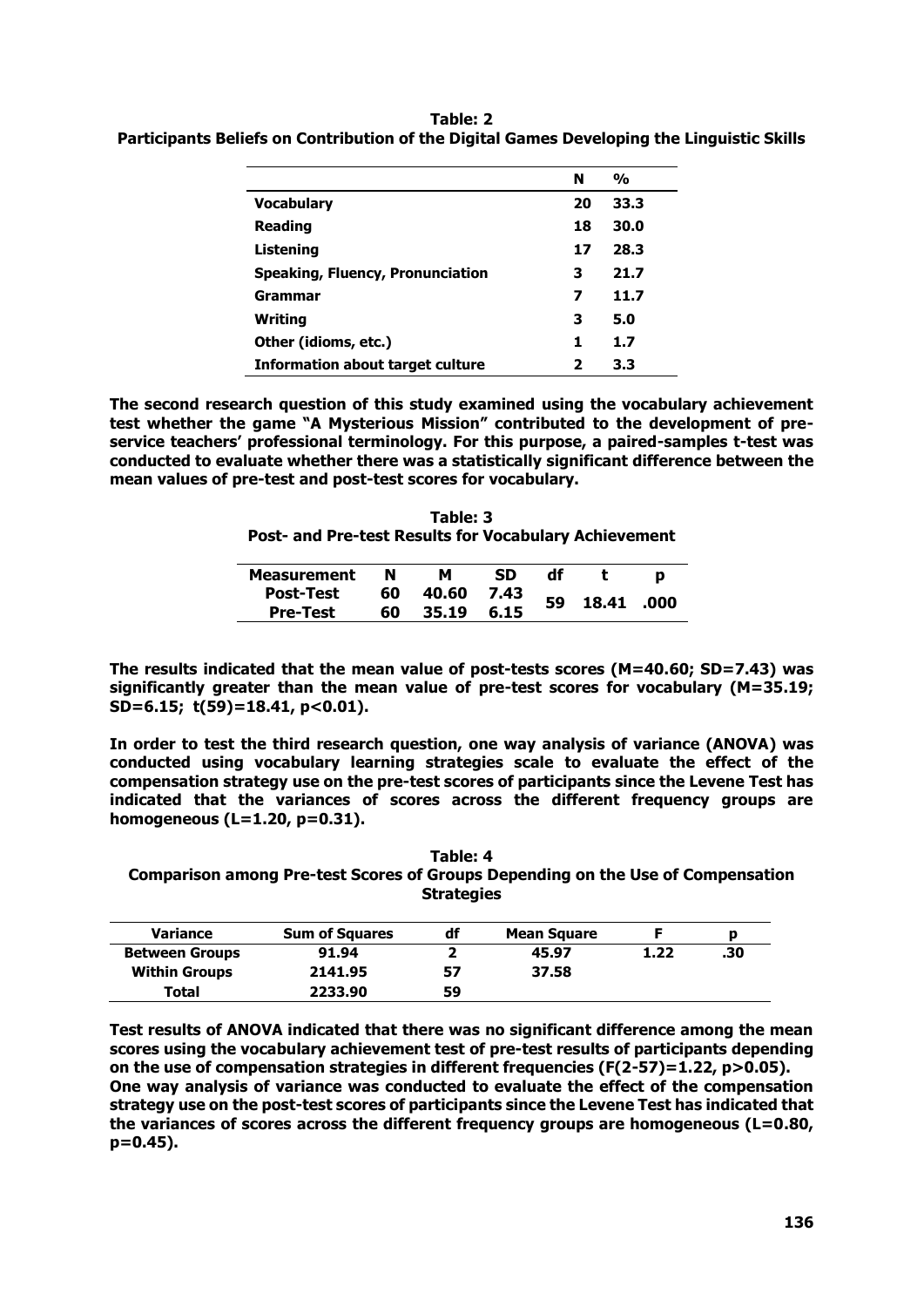|                                         | N  | $\frac{0}{0}$ |  |
|-----------------------------------------|----|---------------|--|
| <b>Vocabulary</b>                       | 20 | 33.3          |  |
| <b>Reading</b>                          | 18 | 30.0          |  |
| Listening                               | 17 | 28.3          |  |
| <b>Speaking, Fluency, Pronunciation</b> | з  | 21.7          |  |
| Grammar                                 | 7  | 11.7          |  |
| Writing                                 | 3  | 5.0           |  |
| Other (idioms, etc.)                    | 1. | 1.7           |  |
| <b>Information about target culture</b> | 2  | 3.3           |  |

**Table: 2 Participants Beliefs on Contribution of the Digital Games Developing the Linguistic Skills**

**The second research question of this study examined using the vocabulary achievement test whether the game "A Mysterious Mission" contributed to the development of preservice teachers' professional terminology. For this purpose, a paired-samples t-test was conducted to evaluate whether there was a statistically significant difference between the mean values of pre-test and post-test scores for vocabulary.**

| Table: 3                                              |  |  |  |  |  |  |
|-------------------------------------------------------|--|--|--|--|--|--|
| Post- and Pre-test Results for Vocabulary Achievement |  |  |  |  |  |  |

| <b>Measurement</b> | N  |       | SD   | df |       |      |
|--------------------|----|-------|------|----|-------|------|
| <b>Post-Test</b>   | 60 | 40.60 | 7.43 | 59 | 18.41 |      |
| <b>Pre-Test</b>    | 60 | 35.19 | 6.15 |    |       | .000 |

**The results indicated that the mean value of post-tests scores (M=40.60; SD=7.43) was significantly greater than the mean value of pre-test scores for vocabulary (M=35.19; SD=6.15; t(59)=18.41, p<0.01).** 

**In order to test the third research question, one way analysis of variance (ANOVA) was conducted using vocabulary learning strategies scale to evaluate the effect of the compensation strategy use on the pre-test scores of participants since the Levene Test has indicated that the variances of scores across the different frequency groups are homogeneous (L=1.20, p=0.31).**

**Table: 4 Comparison among Pre-test Scores of Groups Depending on the Use of Compensation Strategies**

| <b>Variance</b>       | <b>Sum of Squares</b> | df | <b>Mean Square</b> |      | Ð   |
|-----------------------|-----------------------|----|--------------------|------|-----|
| <b>Between Groups</b> | 91.94                 |    | 45.97              | 1.22 | .30 |
| <b>Within Groups</b>  | 2141.95               | 57 | 37.58              |      |     |
| Total                 | 2233.90               | 59 |                    |      |     |

**Test results of ANOVA indicated that there was no significant difference among the mean scores using the vocabulary achievement test of pre-test results of participants depending on the use of compensation strategies in different frequencies (F(2-57)=1.22, p>0.05). One way analysis of variance was conducted to evaluate the effect of the compensation strategy use on the post-test scores of participants since the Levene Test has indicated that the variances of scores across the different frequency groups are homogeneous (L=0.80, p=0.45).**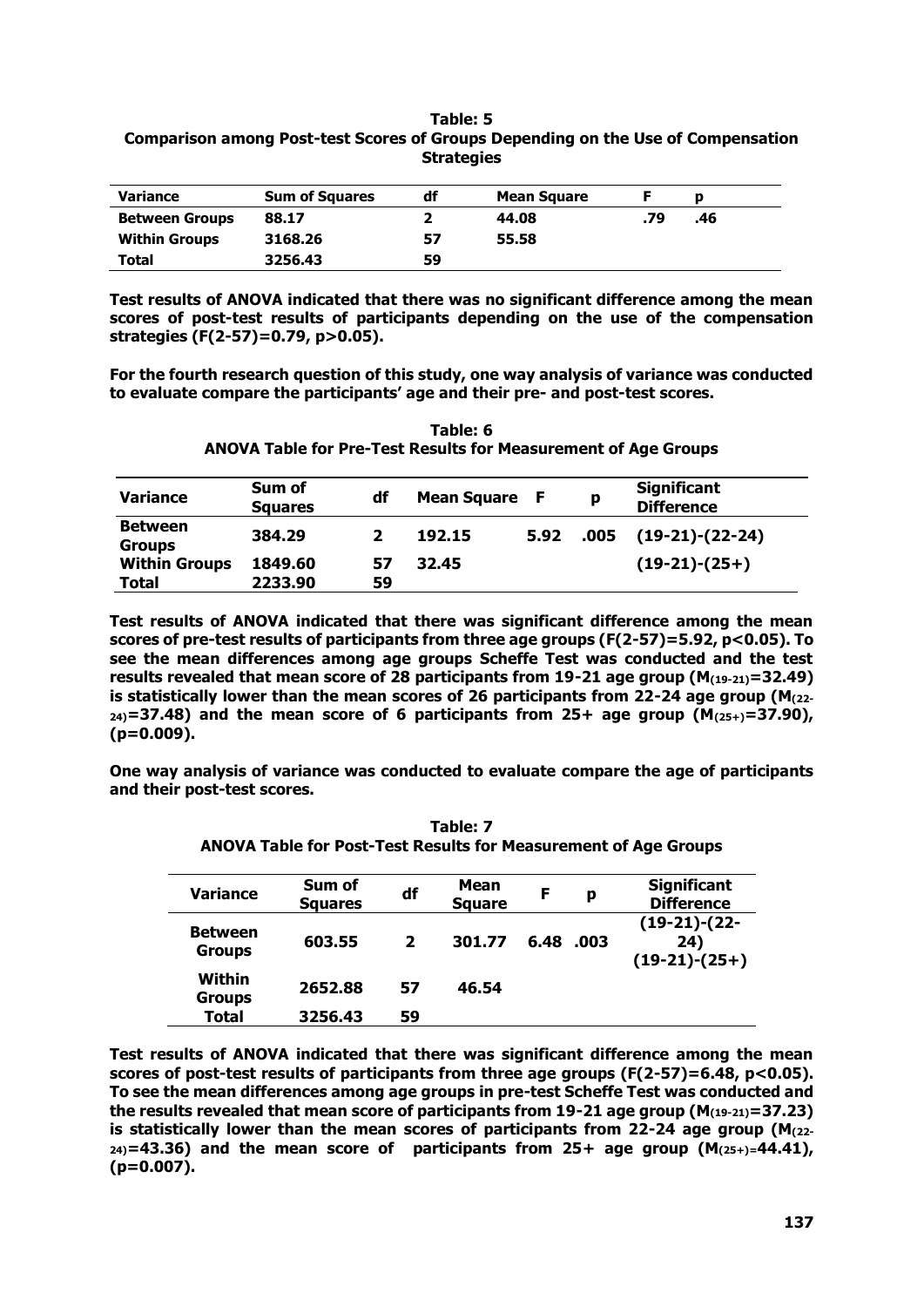#### **Table: 5 Comparison among Post-test Scores of Groups Depending on the Use of Compensation Strategies**

| <b>Variance</b>       | <b>Sum of Squares</b> | df | <b>Mean Square</b> |     |     |  |
|-----------------------|-----------------------|----|--------------------|-----|-----|--|
| <b>Between Groups</b> | 88.17                 |    | 44.08              | .79 | .46 |  |
| <b>Within Groups</b>  | 3168.26               | 57 | 55.58              |     |     |  |
| Total                 | 3256.43               | 59 |                    |     |     |  |

**Test results of ANOVA indicated that there was no significant difference among the mean scores of post-test results of participants depending on the use of the compensation strategies (F(2-57)=0.79, p>0.05).**

**For the fourth research question of this study, one way analysis of variance was conducted to evaluate compare the participants' age and their pre- and post-test scores.** 

**Table: 6 ANOVA Table for Pre-Test Results for Measurement of Age Groups**

| <b>Variance</b>                 | Sum of<br><b>Squares</b> | df | <b>Mean Square</b> |      | p    | <b>Significant</b><br><b>Difference</b> |
|---------------------------------|--------------------------|----|--------------------|------|------|-----------------------------------------|
| <b>Between</b><br><b>Groups</b> | 384.29                   |    | 192.15             | 5.92 | .005 | $(19-21)-(22-24)$                       |
| <b>Within Groups</b>            | 1849.60                  | 57 | 32.45              |      |      | $(19-21)-(25+)$                         |
| Total                           | 2233.90                  | 59 |                    |      |      |                                         |

**Test results of ANOVA indicated that there was significant difference among the mean scores of pre-test results of participants from three age groups (F(2-57)=5.92, p<0.05). To see the mean differences among age groups Scheffe Test was conducted and the test results revealed that mean score of 28 participants from 19-21 age group (M(19-21)=32.49) is statistically lower than the mean scores of 26 participants from 22-24 age group (M(22- 24)=37.48) and the mean score of 6 participants from 25+ age group (M(25+)=37.90), (p=0.009).**

**One way analysis of variance was conducted to evaluate compare the age of participants and their post-test scores.** 

**Table: 7 ANOVA Table for Post-Test Results for Measurement of Age Groups**

| <b>Variance</b>                 | Sum of<br><b>Squares</b> | df             | <b>Mean</b><br><b>Square</b> | F    | р    | <b>Significant</b><br><b>Difference</b>  |
|---------------------------------|--------------------------|----------------|------------------------------|------|------|------------------------------------------|
| <b>Between</b><br><b>Groups</b> | 603.55                   | $\overline{2}$ | 301.77                       | 6.48 | .003 | $(19-21)-(22-$<br>24)<br>$(19-21)-(25+)$ |
| Within<br><b>Groups</b>         | 2652.88                  | 57             | 46.54                        |      |      |                                          |
| <b>Total</b>                    | 3256.43                  | 59             |                              |      |      |                                          |

**Test results of ANOVA indicated that there was significant difference among the mean scores of post-test results of participants from three age groups (F(2-57)=6.48, p<0.05). To see the mean differences among age groups in pre-test Scheffe Test was conducted and the results revealed that mean score of participants from 19-21 age group (M(19-21)=37.23) is statistically lower than the mean scores of participants from 22-24 age group (M(22-**  $24$ =43.36) and the mean score of participants from 25+ age group  $(M_{(25+)=}44.41)$ , **(p=0.007).**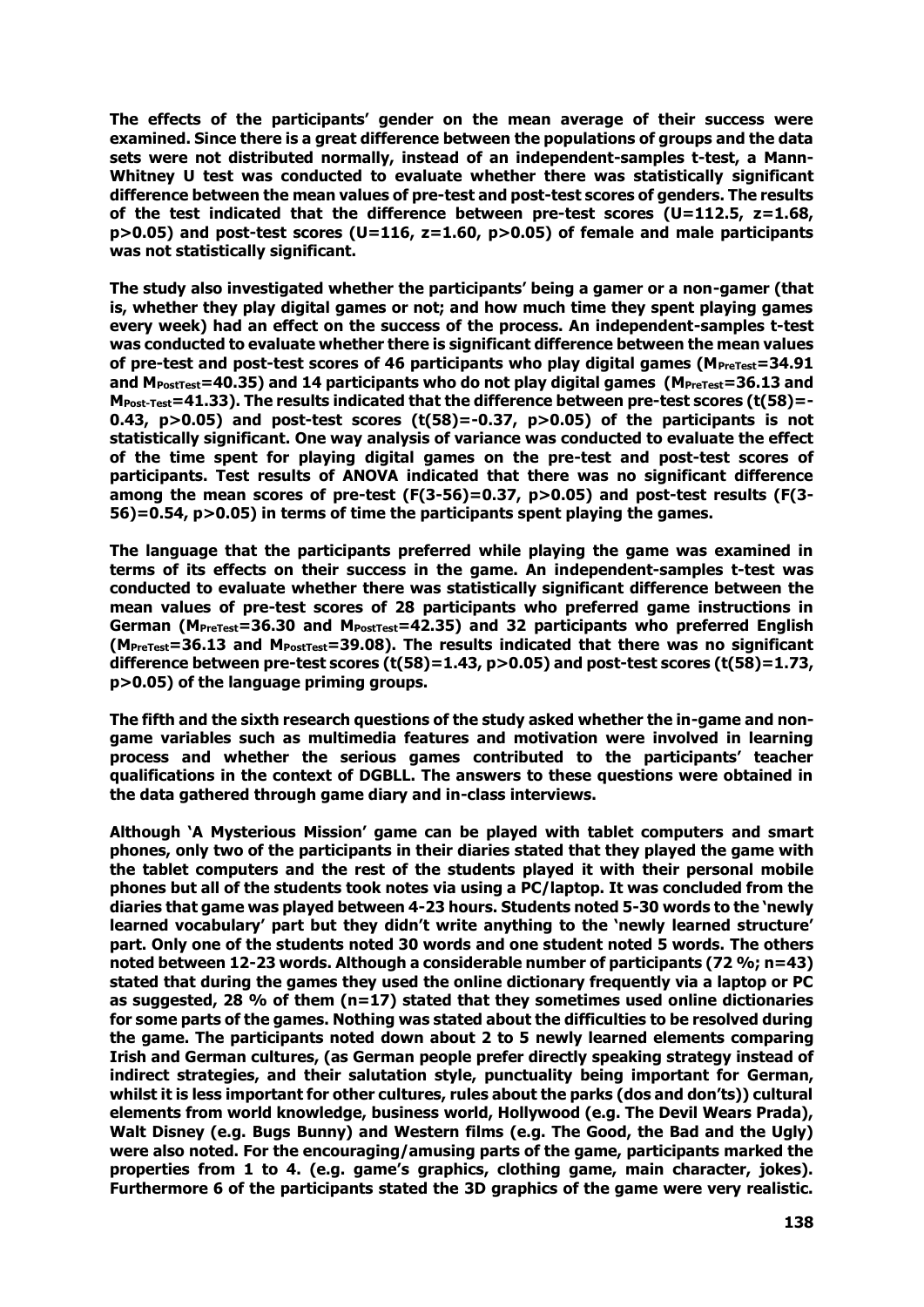**The effects of the participants' gender on the mean average of their success were examined. Since there is a great difference between the populations of groups and the data sets were not distributed normally, instead of an independent-samples t-test, a Mann-Whitney U test was conducted to evaluate whether there was statistically significant difference between the mean values of pre-test and post-test scores of genders. The results of the test indicated that the difference between pre-test scores (U=112.5, z=1.68, p>0.05) and post-test scores (U=116, z=1.60, p>0.05) of female and male participants was not statistically significant.** 

**The study also investigated whether the participants' being a gamer or a non-gamer (that is, whether they play digital games or not; and how much time they spent playing games every week) had an effect on the success of the process. An independent-samples t-test was conducted to evaluate whether there is significant difference between the mean values**  of pre-test and post-test scores of 46 participants who play digital games (M<sub>PreTest</sub>=34.91 **and MPostTest=40.35) and 14 participants who do not play digital games (MPreTest=36.13 and MPost-Test=41.33). The results indicated that the difference between pre-test scores (t(58)=- 0.43, p>0.05) and post-test scores (t(58)=-0.37, p>0.05) of the participants is not statistically significant. One way analysis of variance was conducted to evaluate the effect of the time spent for playing digital games on the pre-test and post-test scores of participants. Test results of ANOVA indicated that there was no significant difference among the mean scores of pre-test (F(3-56)=0.37, p>0.05) and post-test results (F(3- 56)=0.54, p>0.05) in terms of time the participants spent playing the games.**

**The language that the participants preferred while playing the game was examined in terms of its effects on their success in the game. An independent-samples t-test was conducted to evaluate whether there was statistically significant difference between the mean values of pre-test scores of 28 participants who preferred game instructions in German (MPreTest=36.30 and MPostTest=42.35) and 32 participants who preferred English (MPreTest=36.13 and MPostTest=39.08). The results indicated that there was no significant difference between pre-test scores (t(58)=1.43, p>0.05) and post-test scores (t(58)=1.73, p>0.05) of the language priming groups.** 

**The fifth and the sixth research questions of the study asked whether the in-game and nongame variables such as multimedia features and motivation were involved in learning process and whether the serious games contributed to the participants' teacher qualifications in the context of DGBLL. The answers to these questions were obtained in the data gathered through game diary and in-class interviews.**

**Although 'A Mysterious Mission' game can be played with tablet computers and smart phones, only two of the participants in their diaries stated that they played the game with the tablet computers and the rest of the students played it with their personal mobile phones but all of the students took notes via using a PC/laptop. It was concluded from the diaries that game was played between 4-23 hours. Students noted 5-30 words to the 'newly learned vocabulary' part but they didn't write anything to the 'newly learned structure' part. Only one of the students noted 30 words and one student noted 5 words. The others noted between 12-23 words. Although a considerable number of participants (72 %; n=43) stated that during the games they used the online dictionary frequently via a laptop or PC as suggested, 28 % of them (n=17) stated that they sometimes used online dictionaries for some parts of the games. Nothing was stated about the difficulties to be resolved during the game. The participants noted down about 2 to 5 newly learned elements comparing Irish and German cultures, (as German people prefer directly speaking strategy instead of indirect strategies, and their salutation style, punctuality being important for German, whilst it is less important for other cultures, rules about the parks (dos and don'ts)) cultural elements from world knowledge, business world, Hollywood (e.g. The Devil Wears Prada), Walt Disney (e.g. Bugs Bunny) and Western films (e.g. The Good, the Bad and the Ugly) were also noted. For the encouraging/amusing parts of the game, participants marked the properties from 1 to 4. (e.g. game's graphics, clothing game, main character, jokes). Furthermore 6 of the participants stated the 3D graphics of the game were very realistic.**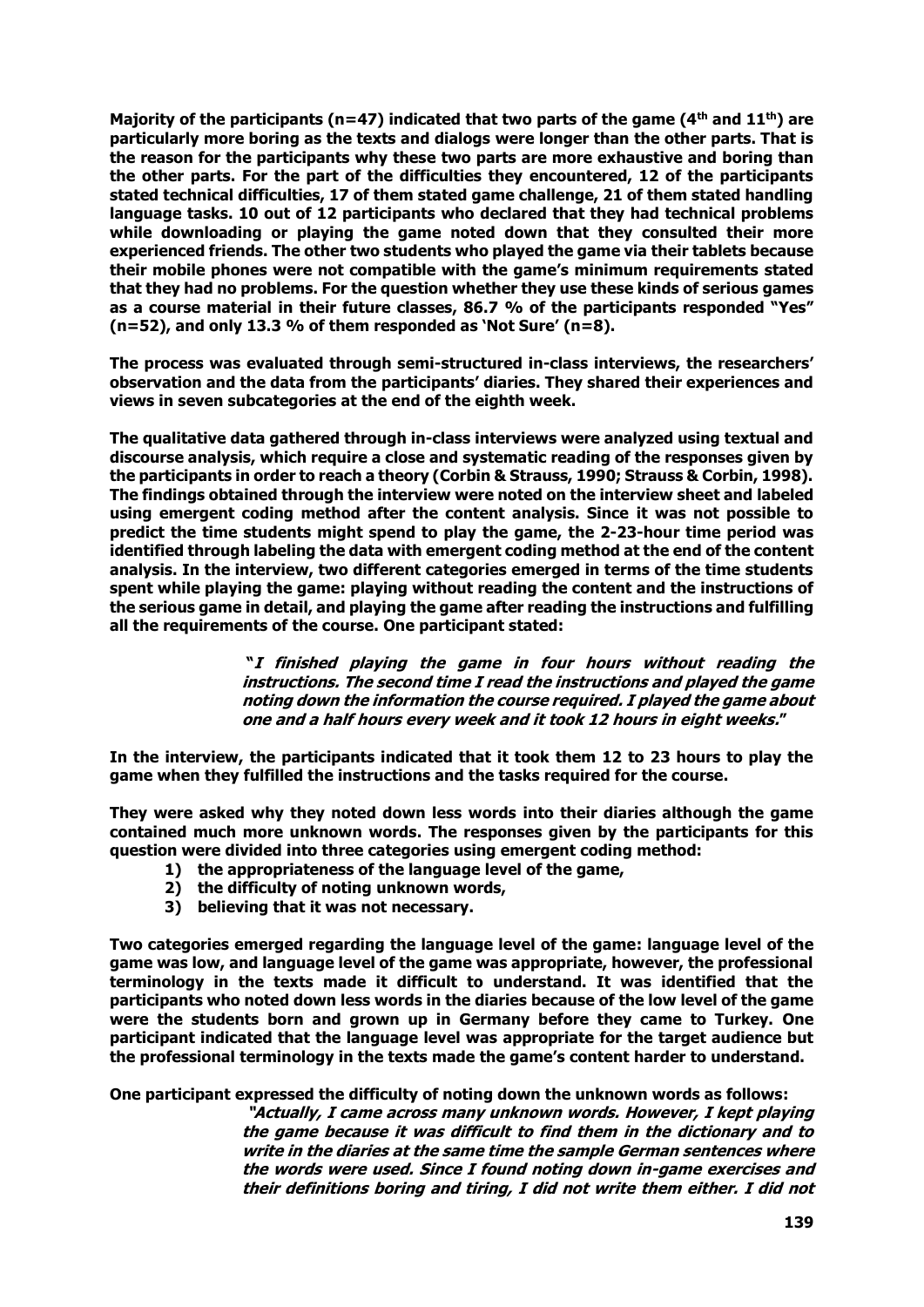**Majority of the participants (n=47) indicated that two parts of the game (4th and 11th) are particularly more boring as the texts and dialogs were longer than the other parts. That is the reason for the participants why these two parts are more exhaustive and boring than the other parts. For the part of the difficulties they encountered, 12 of the participants stated technical difficulties, 17 of them stated game challenge, 21 of them stated handling language tasks. 10 out of 12 participants who declared that they had technical problems while downloading or playing the game noted down that they consulted their more experienced friends. The other two students who played the game via their tablets because their mobile phones were not compatible with the game's minimum requirements stated that they had no problems. For the question whether they use these kinds of serious games as a course material in their future classes, 86.7 % of the participants responded "Yes" (n=52), and only 13.3 % of them responded as 'Not Sure' (n=8).**

**The process was evaluated through semi-structured in-class interviews, the researchers' observation and the data from the participants' diaries. They shared their experiences and views in seven subcategories at the end of the eighth week.** 

**The qualitative data gathered through in-class interviews were analyzed using textual and discourse analysis, which require a close and systematic reading of the responses given by the participants in order to reach a theory (Corbin & Strauss, 1990; Strauss & Corbin, 1998). The findings obtained through the interview were noted on the interview sheet and labeled using emergent coding method after the content analysis. Since it was not possible to predict the time students might spend to play the game, the 2-23-hour time period was identified through labeling the data with emergent coding method at the end of the content analysis. In the interview, two different categories emerged in terms of the time students spent while playing the game: playing without reading the content and the instructions of the serious game in detail, and playing the game after reading the instructions and fulfilling all the requirements of the course. One participant stated:**

> **"I finished playing the game in four hours without reading the instructions. The second time I read the instructions and played the game noting down the information the course required. I played the game about one and a half hours every week and it took 12 hours in eight weeks."**

**In the interview, the participants indicated that it took them 12 to 23 hours to play the game when they fulfilled the instructions and the tasks required for the course.** 

**They were asked why they noted down less words into their diaries although the game contained much more unknown words. The responses given by the participants for this question were divided into three categories using emergent coding method:**

- **1) the appropriateness of the language level of the game,**
- **2) the difficulty of noting unknown words,**
- **3) believing that it was not necessary.**

**Two categories emerged regarding the language level of the game: language level of the game was low, and language level of the game was appropriate, however, the professional terminology in the texts made it difficult to understand. It was identified that the participants who noted down less words in the diaries because of the low level of the game were the students born and grown up in Germany before they came to Turkey. One participant indicated that the language level was appropriate for the target audience but the professional terminology in the texts made the game's content harder to understand.**

**One participant expressed the difficulty of noting down the unknown words as follows:**

**"Actually, I came across many unknown words. However, I kept playing the game because it was difficult to find them in the dictionary and to write in the diaries at the same time the sample German sentences where the words were used. Since I found noting down in-game exercises and their definitions boring and tiring, I did not write them either. I did not**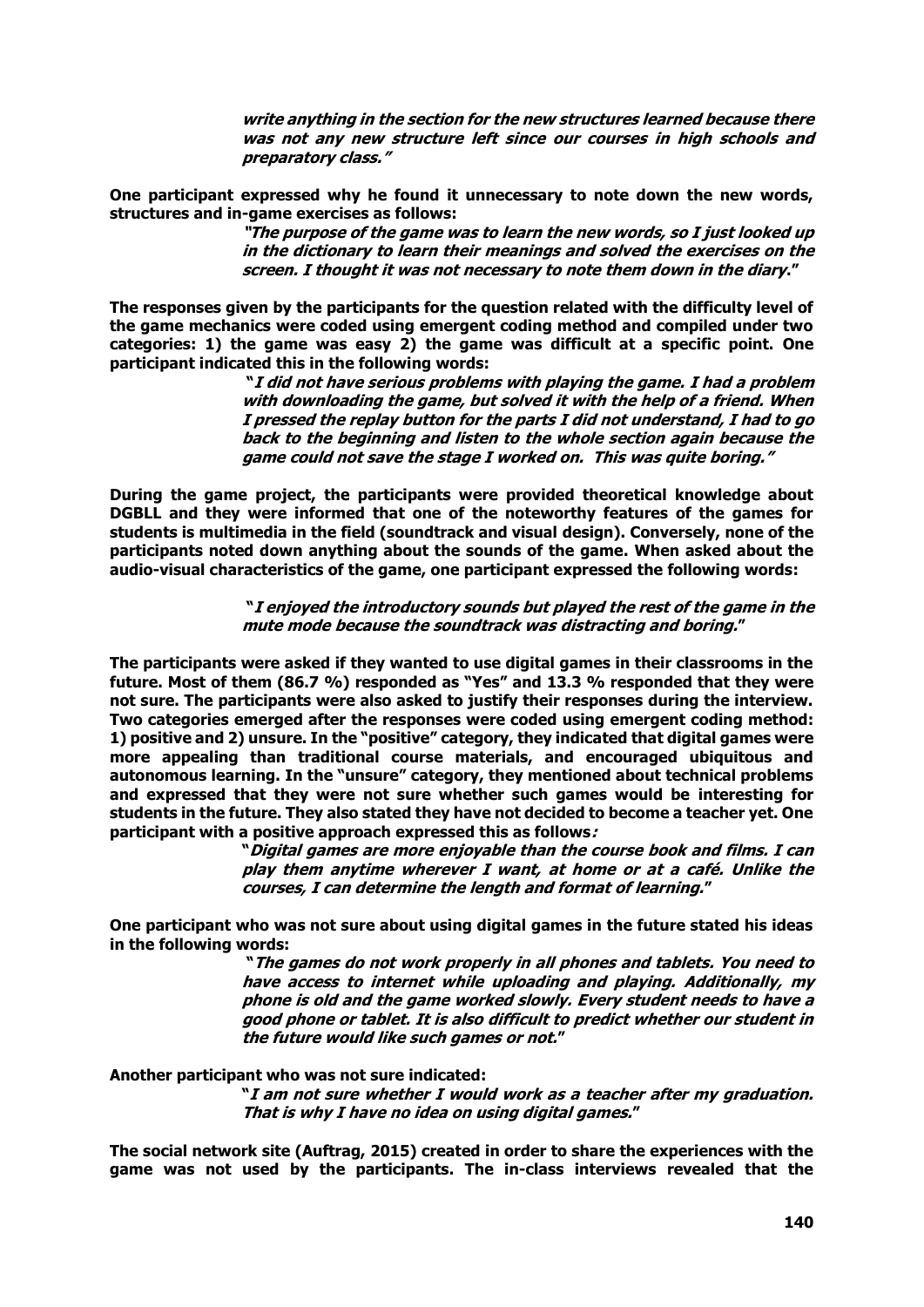**write anything in the section for the new structures learned because there was not any new structure left since our courses in high schools and preparatory class."**

**One participant expressed why he found it unnecessary to note down the new words, structures and in-game exercises as follows:** 

> **"The purpose of the game was to learn the new words, so I just looked up in the dictionary to learn their meanings and solved the exercises on the screen. I thought it was not necessary to note them down in the diary."**

**The responses given by the participants for the question related with the difficulty level of the game mechanics were coded using emergent coding method and compiled under two categories: 1) the game was easy 2) the game was difficult at a specific point. One participant indicated this in the following words:** 

> **"I did not have serious problems with playing the game. I had a problem with downloading the game, but solved it with the help of a friend. When I pressed the replay button for the parts I did not understand, I had to go back to the beginning and listen to the whole section again because the game could not save the stage I worked on. This was quite boring."**

**During the game project, the participants were provided theoretical knowledge about DGBLL and they were informed that one of the noteworthy features of the games for students is multimedia in the field (soundtrack and visual design). Conversely, none of the participants noted down anything about the sounds of the game. When asked about the audio-visual characteristics of the game, one participant expressed the following words:**

> **"I enjoyed the introductory sounds but played the rest of the game in the mute mode because the soundtrack was distracting and boring."**

**The participants were asked if they wanted to use digital games in their classrooms in the future. Most of them (86.7 %) responded as "Yes" and 13.3 % responded that they were not sure. The participants were also asked to justify their responses during the interview. Two categories emerged after the responses were coded using emergent coding method: 1) positive and 2) unsure. In the "positive" category, they indicated that digital games were more appealing than traditional course materials, and encouraged ubiquitous and autonomous learning. In the "unsure" category, they mentioned about technical problems and expressed that they were not sure whether such games would be interesting for students in the future. They also stated they have not decided to become a teacher yet. One participant with a positive approach expressed this as follows:** 

**"Digital games are more enjoyable than the course book and films. I can play them anytime wherever I want, at home or at a café. Unlike the courses, I can determine the length and format of learning."**

**One participant who was not sure about using digital games in the future stated his ideas in the following words:**

> **"The games do not work properly in all phones and tablets. You need to have access to internet while uploading and playing. Additionally, my phone is old and the game worked slowly. Every student needs to have a good phone or tablet. It is also difficult to predict whether our student in the future would like such games or not."**

**Another participant who was not sure indicated:**

**"I am not sure whether I would work as a teacher after my graduation. That is why I have no idea on using digital games."**

**The social network site (Auftrag, 2015) created in order to share the experiences with the game was not used by the participants. The in-class interviews revealed that the**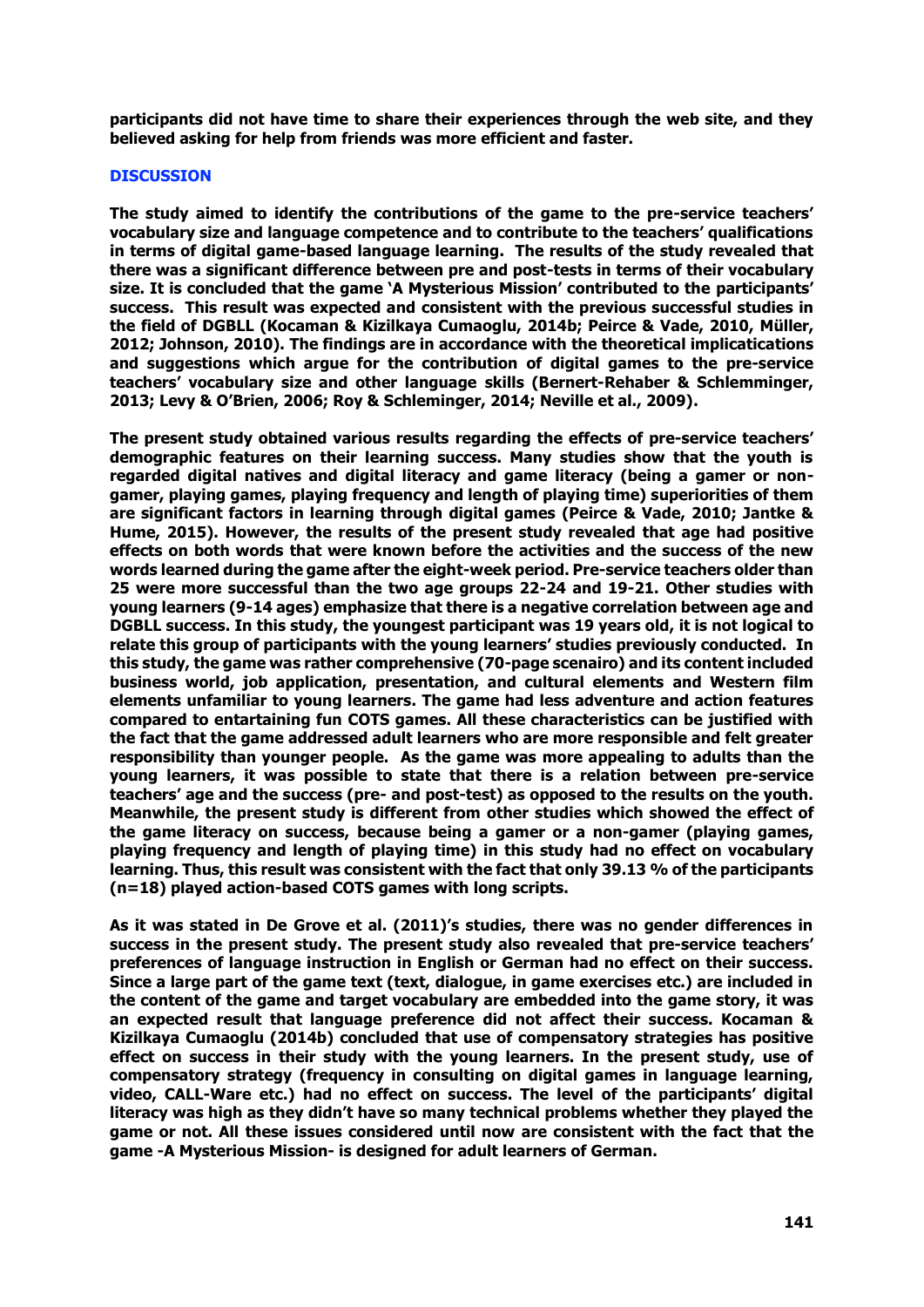**participants did not have time to share their experiences through the web site, and they believed asking for help from friends was more efficient and faster.** 

# **DISCUSSION**

**The study aimed to identify the contributions of the game to the pre-service teachers' vocabulary size and language competence and to contribute to the teachers' qualifications in terms of digital game-based language learning. The results of the study revealed that there was a significant difference between pre and post-tests in terms of their vocabulary size. It is concluded that the game 'A Mysterious Mission' contributed to the participants' success. This result was expected and consistent with the previous successful studies in the field of DGBLL (Kocaman & Kizilkaya Cumaoglu, 2014b; Peirce & Vade, 2010, Müller, 2012; Johnson, 2010). The findings are in accordance with the theoretical implicatications and suggestions which argue for the contribution of digital games to the pre-service teachers' vocabulary size and other language skills (Bernert-Rehaber & Schlemminger, 2013; Levy & O'Brien, 2006; Roy & Schleminger, 2014; Neville et al., 2009).**

**The present study obtained various results regarding the effects of pre-service teachers' demographic features on their learning success. Many studies show that the youth is regarded digital natives and digital literacy and game literacy (being a gamer or nongamer, playing games, playing frequency and length of playing time) superiorities of them are significant factors in learning through digital games (Peirce & Vade, 2010; Jantke & Hume, 2015). However, the results of the present study revealed that age had positive effects on both words that were known before the activities and the success of the new words learned during the game after the eight-week period. Pre-service teachers older than 25 were more successful than the two age groups 22-24 and 19-21. Other studies with young learners (9-14 ages) emphasize that there is a negative correlation between age and DGBLL success. In this study, the youngest participant was 19 years old, it is not logical to relate this group of participants with the young learners' studies previously conducted. In this study, the game was rather comprehensive (70-page scenairo) and its content included business world, job application, presentation, and cultural elements and Western film elements unfamiliar to young learners. The game had less adventure and action features compared to entartaining fun COTS games. All these characteristics can be justified with the fact that the game addressed adult learners who are more responsible and felt greater responsibility than younger people. As the game was more appealing to adults than the young learners, it was possible to state that there is a relation between pre-service teachers' age and the success (pre- and post-test) as opposed to the results on the youth. Meanwhile, the present study is different from other studies which showed the effect of the game literacy on success, because being a gamer or a non-gamer (playing games, playing frequency and length of playing time) in this study had no effect on vocabulary learning. Thus, this result was consistent with the fact that only 39.13 % of the participants (n=18) played action-based COTS games with long scripts.**

**As it was stated in De Grove et al. (2011)'s studies, there was no gender differences in success in the present study. The present study also revealed that pre-service teachers' preferences of language instruction in English or German had no effect on their success. Since a large part of the game text (text, dialogue, in game exercises etc.) are included in the content of the game and target vocabulary are embedded into the game story, it was an expected result that language preference did not affect their success. Kocaman & Kizilkaya Cumaoglu (2014b) concluded that use of compensatory strategies has positive effect on success in their study with the young learners. In the present study, use of compensatory strategy (frequency in consulting on digital games in language learning, video, CALL-Ware etc.) had no effect on success. The level of the participants' digital literacy was high as they didn't have so many technical problems whether they played the game or not. All these issues considered until now are consistent with the fact that the game -A Mysterious Mission- is designed for adult learners of German.**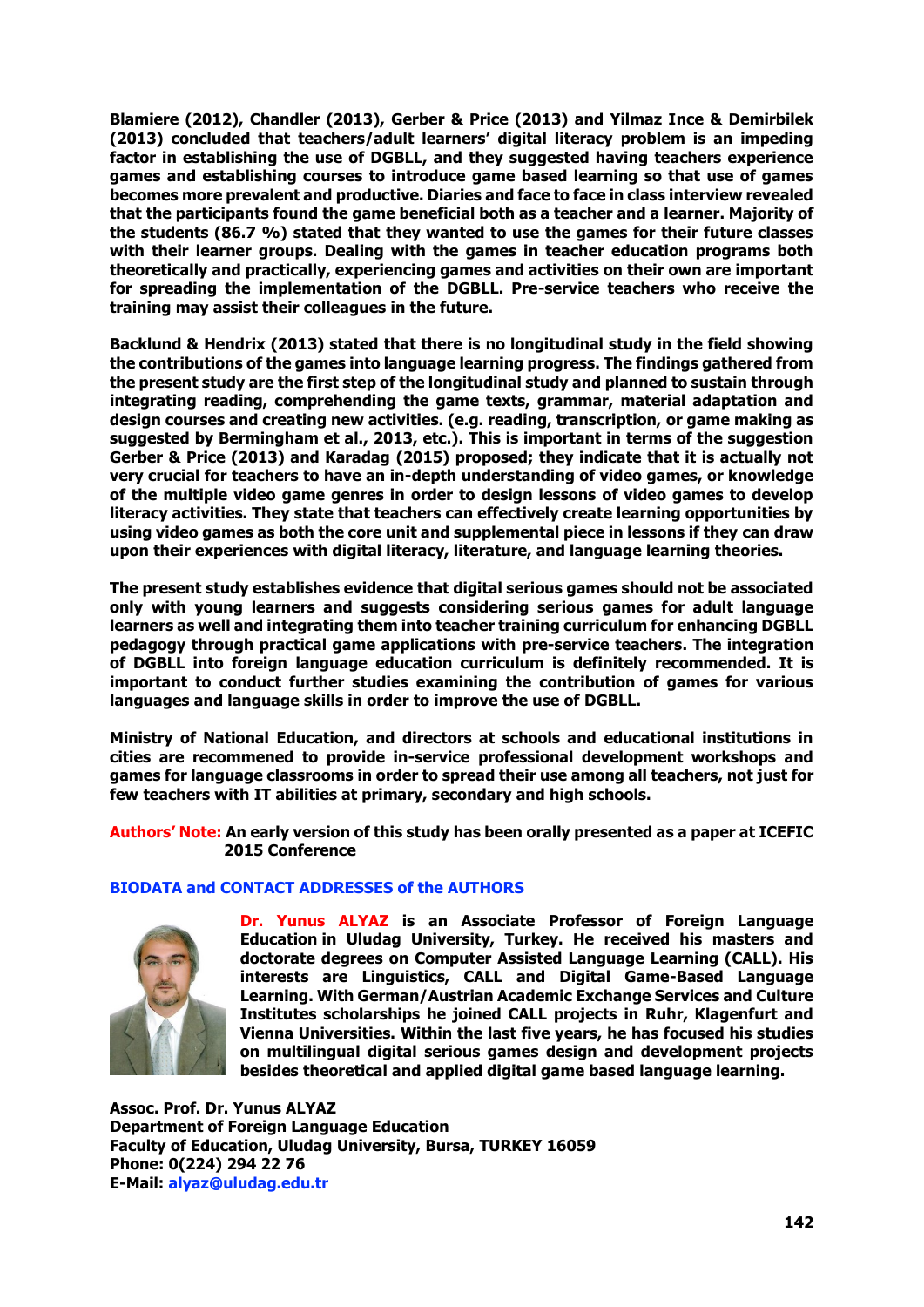**Blamiere (2012), Chandler (2013), Gerber & Price (2013) and Yilmaz Ince & Demirbilek (2013) concluded that teachers/adult learners' digital literacy problem is an impeding factor in establishing the use of DGBLL, and they suggested having teachers experience games and establishing courses to introduce game based learning so that use of games becomes more prevalent and productive. Diaries and face to face in class interview revealed that the participants found the game beneficial both as a teacher and a learner. Majority of the students (86.7 %) stated that they wanted to use the games for their future classes with their learner groups. Dealing with the games in teacher education programs both theoretically and practically, experiencing games and activities on their own are important for spreading the implementation of the DGBLL. Pre-service teachers who receive the training may assist their colleagues in the future.** 

**Backlund & Hendrix (2013) stated that there is no longitudinal study in the field showing the contributions of the games into language learning progress. The findings gathered from the present study are the first step of the longitudinal study and planned to sustain through integrating reading, comprehending the game texts, grammar, material adaptation and design courses and creating new activities. (e.g. reading, transcription, or game making as suggested by Bermingham et al., 2013, etc.). This is important in terms of the suggestion Gerber & Price (2013) and Karadag (2015) proposed; they indicate that it is actually not very crucial for teachers to have an in-depth understanding of video games, or knowledge of the multiple video game genres in order to design lessons of video games to develop literacy activities. They state that teachers can effectively create learning opportunities by using video games as both the core unit and supplemental piece in lessons if they can draw upon their experiences with digital literacy, literature, and language learning theories.**

**The present study establishes evidence that digital serious games should not be associated only with young learners and suggests considering serious games for adult language learners as well and integrating them into teacher training curriculum for enhancing DGBLL pedagogy through practical game applications with pre-service teachers. The integration of DGBLL into foreign language education curriculum is definitely recommended. It is important to conduct further studies examining the contribution of games for various languages and language skills in order to improve the use of DGBLL.**

**Ministry of National Education, and directors at schools and educational institutions in cities are recommened to provide in-service professional development workshops and games for language classrooms in order to spread their use among all teachers, not just for few teachers with IT abilities at primary, secondary and high schools.**

**Authors' Note: An early version of this study has been orally presented as a paper at ICEFIC 2015 Conference**

# **BIODATA and CONTACT ADDRESSES of the AUTHORS**



**Dr. Yunus ALYAZ is an Associate Professor of Foreign Language Education in Uludag University, Turkey. He received his masters and doctorate degrees on Computer Assisted Language Learning (CALL). His interests are Linguistics, CALL and Digital Game-Based Language Learning. With German/Austrian Academic Exchange Services and Culture Institutes scholarships he joined CALL projects in Ruhr, Klagenfurt and Vienna Universities. Within the last five years, he has focused his studies on multilingual digital serious games design and development projects besides theoretical and applied digital game based language learning.**

**Assoc. Prof. Dr. Yunus ALYAZ Department of Foreign Language Education Faculty of Education, Uludag University, Bursa, TURKEY 16059 Phone: 0(224) 294 22 76 E-Mail: alyaz@uludag.edu.tr**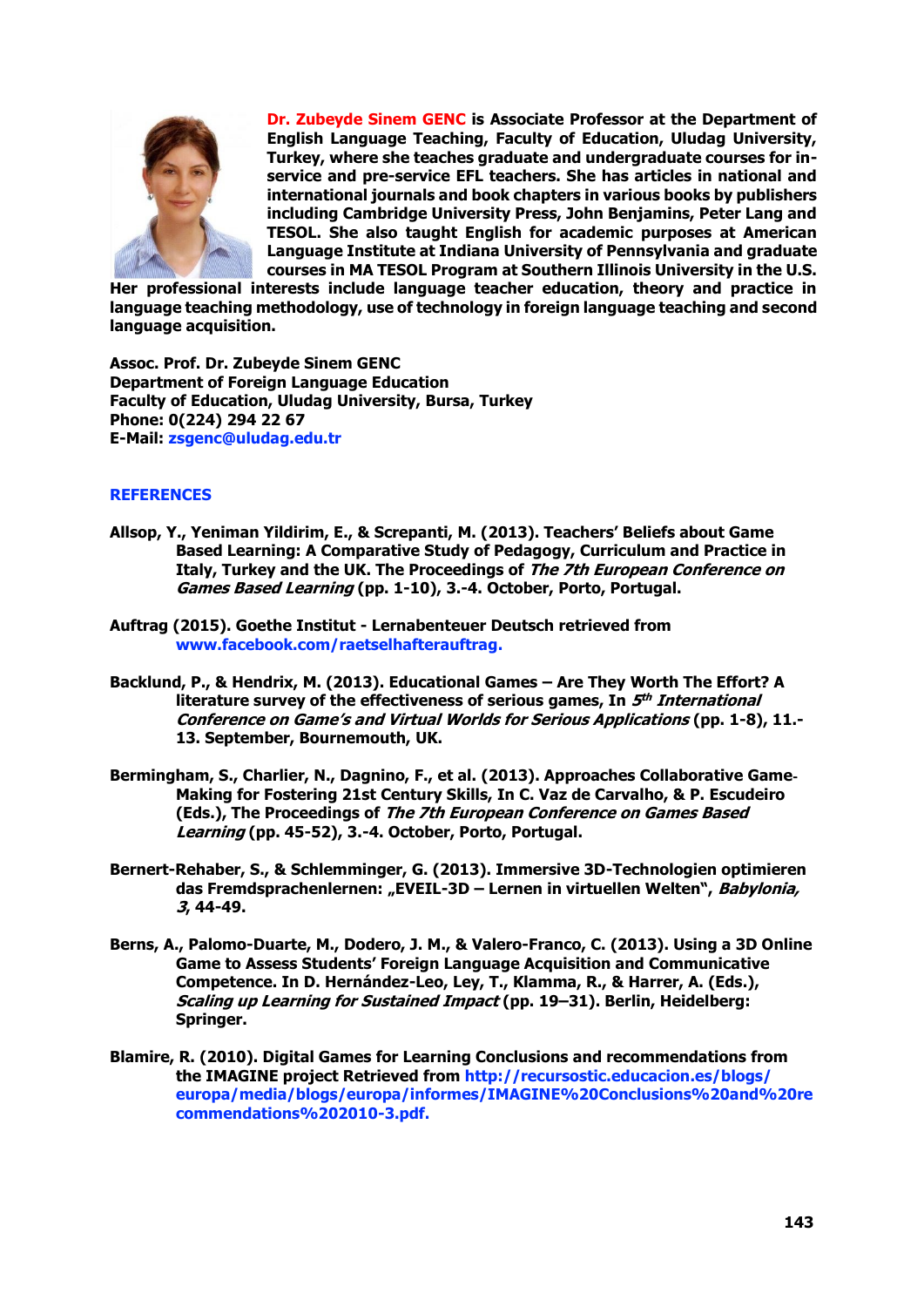

**Dr. Zubeyde Sinem GENC is Associate Professor at the Department of English Language Teaching, Faculty of Education, Uludag University, Turkey, where she teaches graduate and undergraduate courses for inservice and pre-service EFL teachers. She has articles in national and international journals and book chapters in various books by publishers including Cambridge University Press, John Benjamins, Peter Lang and TESOL. She also taught English for academic purposes at American Language Institute at Indiana University of Pennsylvania and graduate courses in MA TESOL Program at Southern Illinois University in the U.S.** 

**Her professional interests include language teacher education, theory and practice in language teaching methodology, use of technology in foreign language teaching and second language acquisition.**

**Assoc. Prof. Dr. Zubeyde Sinem GENC Department of Foreign Language Education Faculty of Education, Uludag University, Bursa, Turkey Phone: 0(224) 294 22 67 E-Mail: zsgenc@uludag.edu.tr**

# **REFERENCES**

- **Allsop, Y., Yeniman Yildirim, E., & Screpanti, M. (2013). Teachers' Beliefs about Game Based Learning: A Comparative Study of Pedagogy, Curriculum and Practice in Italy, Turkey and the UK. The Proceedings of The 7th European Conference on Games Based Learning (pp. 1-10), 3.-4. October, Porto, Portugal.**
- **Auftrag (2015). Goethe Institut - Lernabenteuer Deutsch retrieved from [www.facebook.com/raetselhafterauftrag.](http://www.facebook.com/raetselhafterauftrag)**
- **Backlund, P., & Hendrix, M. (2013). Educational Games – Are They Worth The Effort? A literature survey of the effectiveness of serious games, In 5 th International Conference on Game's and Virtual Worlds for Serious Applications (pp. 1-8), 11.- 13. September, Bournemouth, UK.**
- **Bermingham, S., Charlier, N., Dagnino, F., et al. (2013). Approaches Collaborative Game**‐ **Making for Fostering 21st Century Skills, In C. Vaz de Carvalho, & P. Escudeiro (Eds.), The Proceedings of The 7th European Conference on Games Based Learning (pp. 45-52), 3.-4. October, Porto, Portugal.**
- **Bernert-Rehaber, S., & Schlemminger, G. (2013). Immersive 3D-Technologien optimieren das Fremdsprachenlernen: "EVEIL-3D – Lernen in virtuellen Welten", Babylonia, 3, 44-49.**
- **Berns, A., Palomo-Duarte, M., Dodero, J. M., & Valero-Franco, C. (2013). Using a 3D Online Game to Assess Students' Foreign Language Acquisition and Communicative Competence. In D. Hernández-Leo, Ley, T., Klamma, R., & Harrer, A. (Eds.), Scaling up Learning for Sustained Impact (pp. 19–31). Berlin, Heidelberg: Springer.**
- **Blamire, R. (2010). Digital Games for Learning Conclusions and recommendations from the IMAGINE project Retrieved from <http://recursostic.educacion.es/blogs/> europa/media/blogs/europa/informes/IMAGINE%20Conclusions%20and%20re commendations%202010-3.pdf.**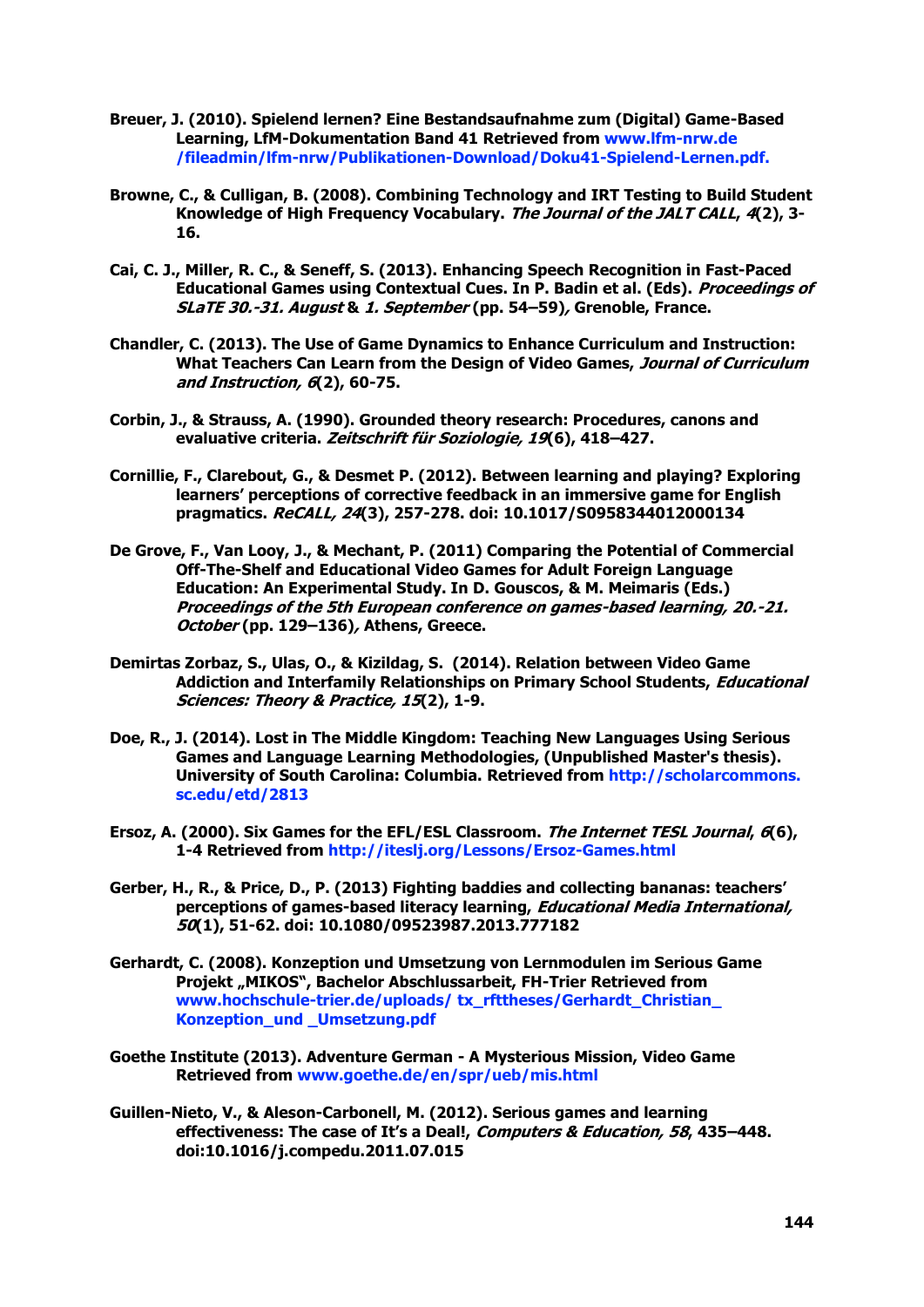- **Breuer, J. (2010). Spielend lernen? Eine Bestandsaufnahme zum (Digital) Game-Based Learning, LfM-Dokumentation Band 41 Retrieved from www.lfm-nrw.de /fileadmin/lfm-nrw/Publikationen-Download/Doku41-Spielend-Lernen.pdf.**
- **Browne, C., & Culligan, B. (2008). Combining Technology and IRT Testing to Build Student Knowledge of High Frequency Vocabulary. The Journal of the JALT CALL, 4(2), 3- 16.**
- **Cai, C. J., Miller, R. C., & Seneff, S. (2013). Enhancing Speech Recognition in Fast-Paced Educational Games using Contextual Cues. In P. Badin et al. (Eds). Proceedings of SLaTE 30.-31. August & 1. September (pp. 54–59), Grenoble, France.**
- **Chandler, C. (2013). The Use of Game Dynamics to Enhance Curriculum and Instruction: What Teachers Can Learn from the Design of Video Games, Journal of Curriculum and Instruction, 6(2), 60-75.**
- **Corbin, J., & Strauss, A. (1990). Grounded theory research: Procedures, canons and evaluative criteria. Zeitschrift für Soziologie, 19(6), 418–427.**
- **Cornillie, F., Clarebout, G., & Desmet P. (2012). Between learning and playing? Exploring learners' perceptions of corrective feedback in an immersive game for English pragmatics. ReCALL, 24(3), 257-278. doi: 10.1017/S0958344012000134**
- **De Grove, F., Van Looy, J., & Mechant, P. (2011) Comparing the Potential of Commercial Off-The-Shelf and Educational Video Games for Adult Foreign Language Education: An Experimental Study. In D. Gouscos, & M. Meimaris (Eds.) Proceedings of the 5th European conference on games-based learning, 20.-21. October (pp. 129–136), Athens, Greece.**
- **Demirtas Zorbaz, S., Ulas, O., & Kizildag, S. (2014). Relation between Video Game Addiction and Interfamily Relationships on Primary School Students, Educational Sciences: Theory & Practice, 15(2), 1-9.**
- **Doe, R., J. (2014). Lost in The Middle Kingdom: Teaching New Languages Using Serious Games and Language Learning Methodologies, (Unpublished Master's thesis). University of South Carolina: Columbia. Retrieved from http://scholarcommons. sc.edu/etd/2813**
- **Ersoz, A. (2000). Six Games for the EFL/ESL Classroom. The Internet TESL Journal, 6(6), 1-4 Retrieved from<http://iteslj.org/Lessons/Ersoz-Games.html>**
- **Gerber, H., R., & Price, D., P. (2013) Fighting baddies and collecting bananas: teachers' perceptions of games-based literacy learning, Educational Media International, 50(1), 51-62. doi: 10.1080/09523987.2013.777182**
- **Gerhardt, C. (2008). Konzeption und Umsetzung von Lernmodulen im Serious Game Projekt "MIKOS", Bachelor Abschlussarbeit, FH-Trier Retrieved from [www.hochschule-trier.de/uploads/](http://www.hochschule-trier.de/uploads/) tx\_rfttheses/Gerhardt\_Christian\_ Konzeption\_und \_Umsetzung.pdf**
- **Goethe Institute (2013). Adventure German - A Mysterious Mission, Video Game Retrieved from [www.goethe.de/en/spr/ueb/mis.html](http://www.goethe.de/en/spr/ueb/mis.html)**
- **Guillen-Nieto, V., & Aleson-Carbonell, M. (2012). Serious games and learning effectiveness: The case of It's a Deal!, Computers & Education, 58, 435–448. doi:10.1016/j.compedu.2011.07.015**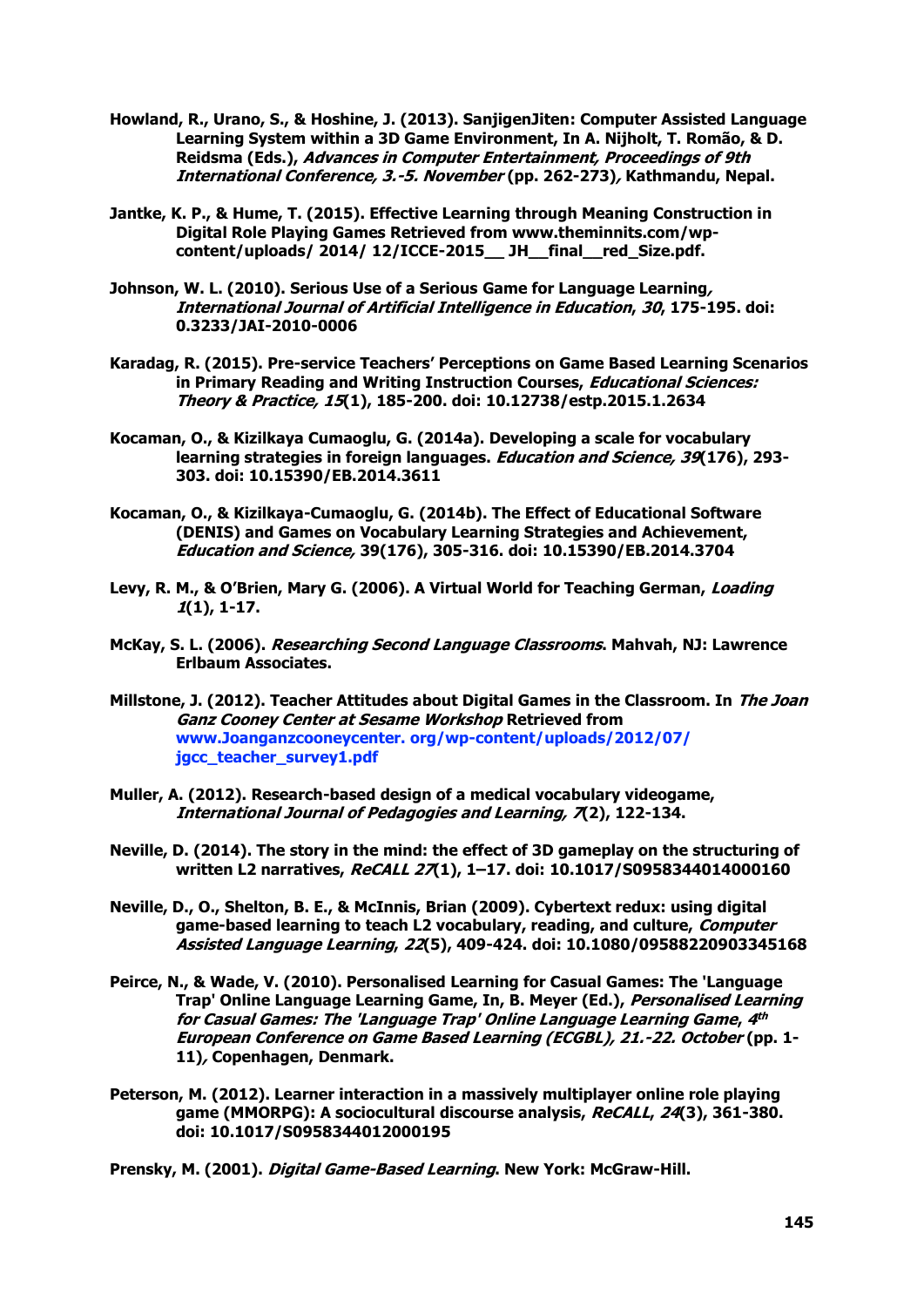- **Howland, R., Urano, S., & Hoshine, J. (2013). SanjigenJiten: Computer Assisted Language Learning System within a 3D Game Environment, In A. Nijholt, T. Romão, & D. Reidsma (Eds.), Advances in Computer Entertainment, Proceedings of 9th International Conference, 3.-5. November (pp. 262-273), Kathmandu, Nepal.**
- **Jantke, K. P., & Hume, T. (2015). Effective Learning through Meaning Construction in Digital Role Playing Games Retrieved from www.theminnits.com/wpcontent/uploads/ 2014/ 12/ICCE-2015\_\_ JH\_\_final\_\_red\_Size.pdf.**
- **Johnson, W. L. (2010). Serious Use of a Serious Game for Language Learning, International Journal of Artificial Intelligence in Education, 30, 175-195. doi: 0.3233/JAI-2010-0006**
- **Karadag, R. (2015). Pre-service Teachers' Perceptions on Game Based Learning Scenarios in Primary Reading and Writing Instruction Courses, Educational Sciences: Theory & Practice, 15(1), 185-200. doi: 10.12738/estp.2015.1.2634**
- **Kocaman, O., & Kizilkaya Cumaoglu, G. (2014a). Developing a scale for vocabulary learning strategies in foreign languages. Education and Science, 39(176), 293- 303. doi: 10.15390/EB.2014.3611**
- **Kocaman, O., & Kizilkaya-Cumaoglu, G. (2014b). The Effect of Educational Software (DENIS) and Games on Vocabulary Learning Strategies and Achievement, Education and Science, 39(176), 305-316. doi: 10.15390/EB.2014.3704**
- **Levy, R. M., & O'Brien, Mary G. (2006). A Virtual World for Teaching German, Loading 1(1), 1-17.**
- **McKay, S. L. (2006). Researching Second Language Classrooms. Mahvah, NJ: Lawrence Erlbaum Associates.**
- **Millstone, J. (2012). Teacher Attitudes about Digital Games in the Classroom. In The Joan Ganz Cooney Center at Sesame Workshop Retrieved from www.Joanganzcooneycenter. org/wp-content/uploads/2012/07/ jgcc\_teacher\_survey1.pdf**
- **Muller, A. (2012). Research-based design of a medical vocabulary videogame, International Journal of Pedagogies and Learning, 7(2), 122-134.**
- **Neville, D. (2014). The story in the mind: the effect of 3D gameplay on the structuring of written L2 narratives, ReCALL 27(1), 1–17. doi: 10.1017/S0958344014000160**
- **Neville, D., O., Shelton, B. E., & McInnis, Brian (2009). Cybertext redux: using digital game-based learning to teach L2 vocabulary, reading, and culture, Computer Assisted Language Learning, 22(5), 409-424. doi: 10.1080/09588220903345168**
- **Peirce, N., & Wade, V. (2010). Personalised Learning for Casual Games: The 'Language Trap' Online Language Learning Game, In, B. Meyer (Ed.), Personalised Learning for Casual Games: The 'Language Trap' Online Language Learning Game, 4 th European Conference on Game Based Learning (ECGBL), 21.-22. October (pp. 1- 11), Copenhagen, Denmark.**
- **Peterson, M. (2012). Learner interaction in a massively multiplayer online role playing game (MMORPG): A sociocultural discourse analysis, ReCALL, 24(3), 361-380. doi: 10.1017/S0958344012000195**

**Prensky, M. (2001). Digital Game-Based Learning. New York: McGraw-Hill.**